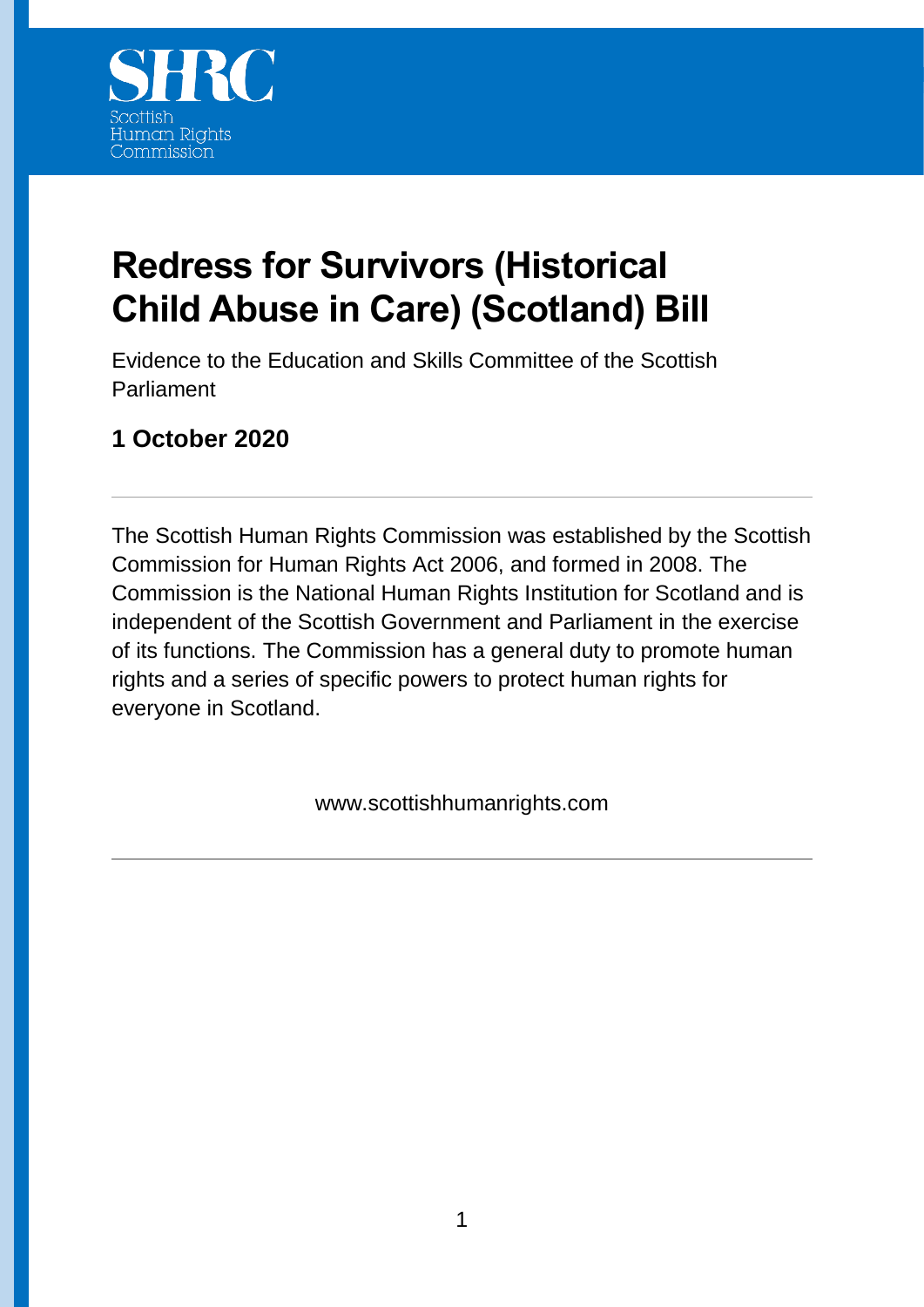

# **Redress for Survivors (Historical Child Abuse in Care) (Scotland) Bill**

Evidence to the Education and Skills Committee of the Scottish Parliament

# **1 October 2020**

The Scottish Human Rights Commission was established by the Scottish Commission for Human Rights Act 2006, and formed in 2008. The Commission is the National Human Rights Institution for Scotland and is independent of the Scottish Government and Parliament in the exercise of its functions. The Commission has a general duty to promote human rights and a series of specific powers to protect human rights for everyone in Scotland.

www.scottishhumanrights.com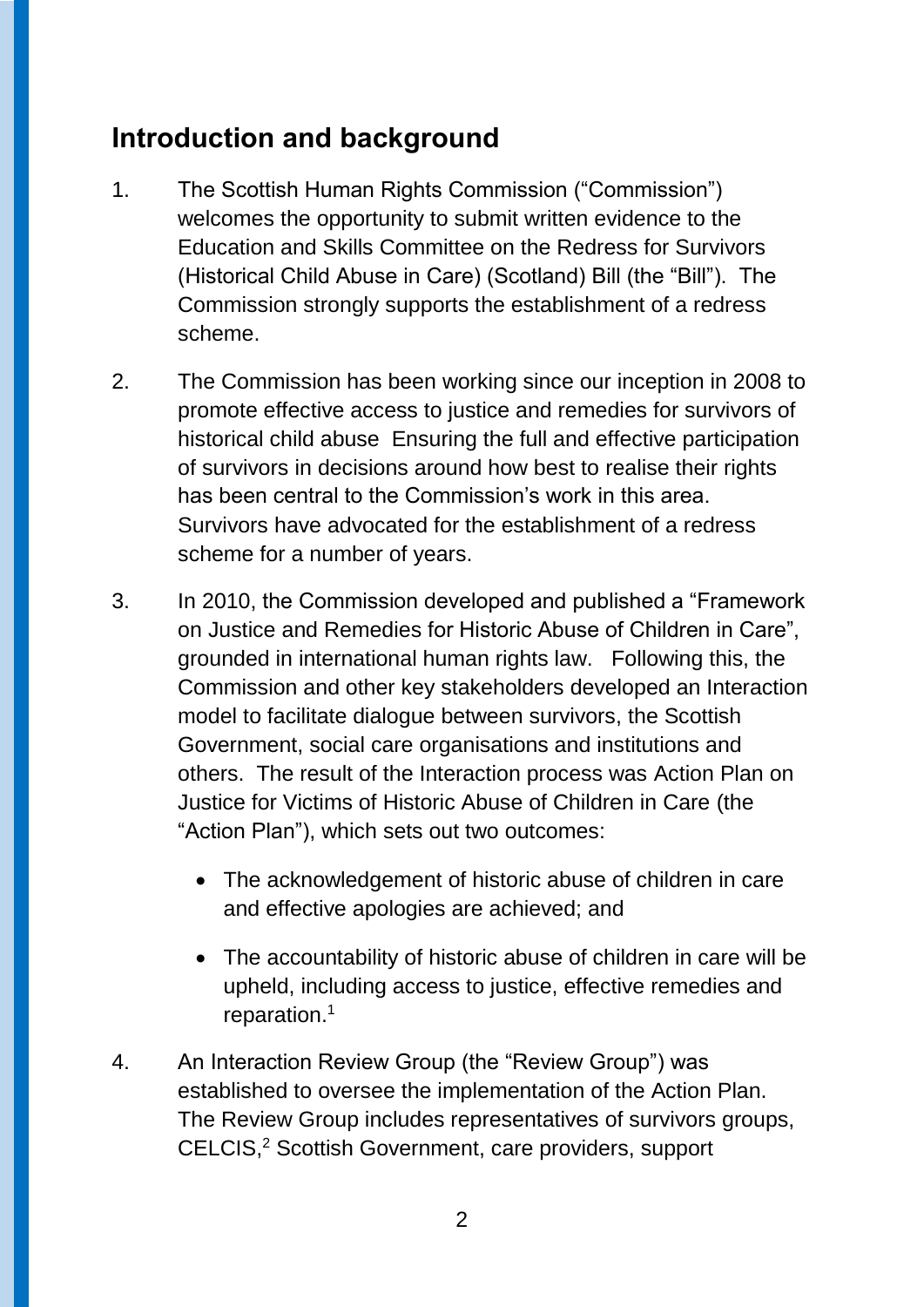# **Introduction and background**

- 1. The Scottish Human Rights Commission ("Commission") welcomes the opportunity to submit written evidence to the Education and Skills Committee on the Redress for Survivors (Historical Child Abuse in Care) (Scotland) Bill (the "Bill"). The Commission strongly supports the establishment of a redress scheme.
- 2. The Commission has been working since our inception in 2008 to promote effective access to justice and remedies for survivors of historical child abuse Ensuring the full and effective participation of survivors in decisions around how best to realise their rights has been central to the Commission's work in this area. Survivors have advocated for the establishment of a redress scheme for a number of years.
- 3. In 2010, the Commission developed and published a "Framework on Justice and Remedies for Historic Abuse of Children in Care", grounded in international human rights law. Following this, the Commission and other key stakeholders developed an Interaction model to facilitate dialogue between survivors, the Scottish Government, social care organisations and institutions and others. The result of the Interaction process was Action Plan on Justice for Victims of Historic Abuse of Children in Care (the "Action Plan"), which sets out two outcomes:
	- The acknowledgement of historic abuse of children in care and effective apologies are achieved; and
	- The accountability of historic abuse of children in care will be upheld, including access to justice, effective remedies and reparation.<sup>1</sup>
- 4. An Interaction Review Group (the "Review Group") was established to oversee the implementation of the Action Plan. The Review Group includes representatives of survivors groups, CELCIS,<sup>2</sup> Scottish Government, care providers, support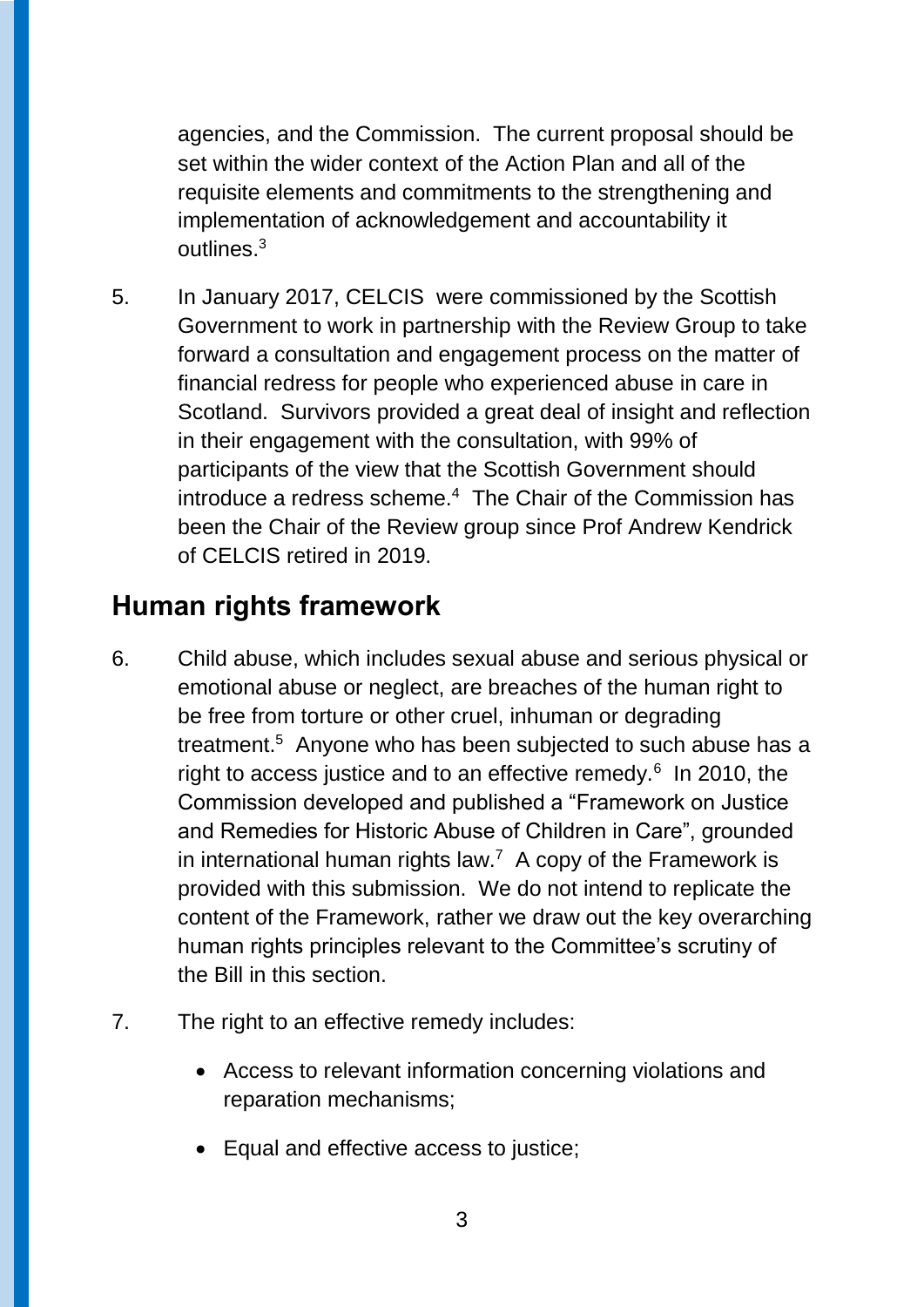agencies, and the Commission. The current proposal should be set within the wider context of the Action Plan and all of the requisite elements and commitments to the strengthening and implementation of acknowledgement and accountability it outlines. $3$ 

5. In January 2017, CELCIS were commissioned by the Scottish Government to work in partnership with the Review Group to take forward a consultation and engagement process on the matter of financial redress for people who experienced abuse in care in Scotland. Survivors provided a great deal of insight and reflection in their engagement with the consultation, with 99% of participants of the view that the Scottish Government should introduce a redress scheme.<sup>4</sup> The Chair of the Commission has been the Chair of the Review group since Prof Andrew Kendrick of CELCIS retired in 2019.

# **Human rights framework**

- 6. Child abuse, which includes sexual abuse and serious physical or emotional abuse or neglect, are breaches of the human right to be free from torture or other cruel, inhuman or degrading treatment.<sup>5</sup> Anyone who has been subjected to such abuse has a right to access justice and to an effective remedy. $6$  In 2010, the Commission developed and published a "Framework on Justice and Remedies for Historic Abuse of Children in Care", grounded in international human rights law.<sup>7</sup> A copy of the Framework is provided with this submission. We do not intend to replicate the content of the Framework, rather we draw out the key overarching human rights principles relevant to the Committee's scrutiny of the Bill in this section.
- 7. The right to an effective remedy includes:
	- Access to relevant information concerning violations and reparation mechanisms;
	- Equal and effective access to justice: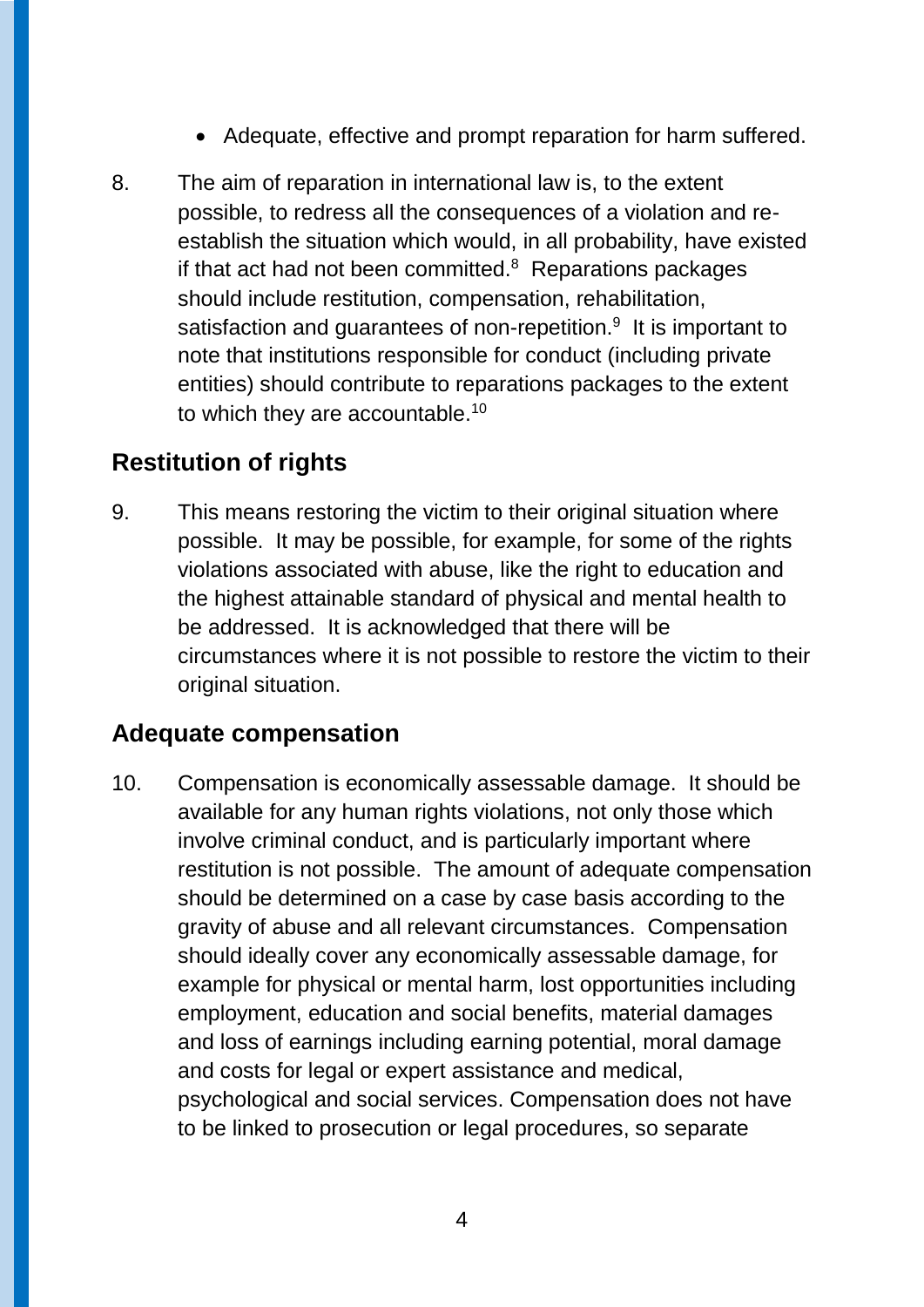- Adequate, effective and prompt reparation for harm suffered.
- 8. The aim of reparation in international law is, to the extent possible, to redress all the consequences of a violation and reestablish the situation which would, in all probability, have existed if that act had not been committed.<sup>8</sup> Reparations packages should include restitution, compensation, rehabilitation, satisfaction and guarantees of non-repetition.<sup>9</sup> It is important to note that institutions responsible for conduct (including private entities) should contribute to reparations packages to the extent to which they are accountable.<sup>10</sup>

### **Restitution of rights**

9. This means restoring the victim to their original situation where possible. It may be possible, for example, for some of the rights violations associated with abuse, like the right to education and the highest attainable standard of physical and mental health to be addressed. It is acknowledged that there will be circumstances where it is not possible to restore the victim to their original situation.

#### **Adequate compensation**

10. Compensation is economically assessable damage. It should be available for any human rights violations, not only those which involve criminal conduct, and is particularly important where restitution is not possible. The amount of adequate compensation should be determined on a case by case basis according to the gravity of abuse and all relevant circumstances. Compensation should ideally cover any economically assessable damage, for example for physical or mental harm, lost opportunities including employment, education and social benefits, material damages and loss of earnings including earning potential, moral damage and costs for legal or expert assistance and medical, psychological and social services. Compensation does not have to be linked to prosecution or legal procedures, so separate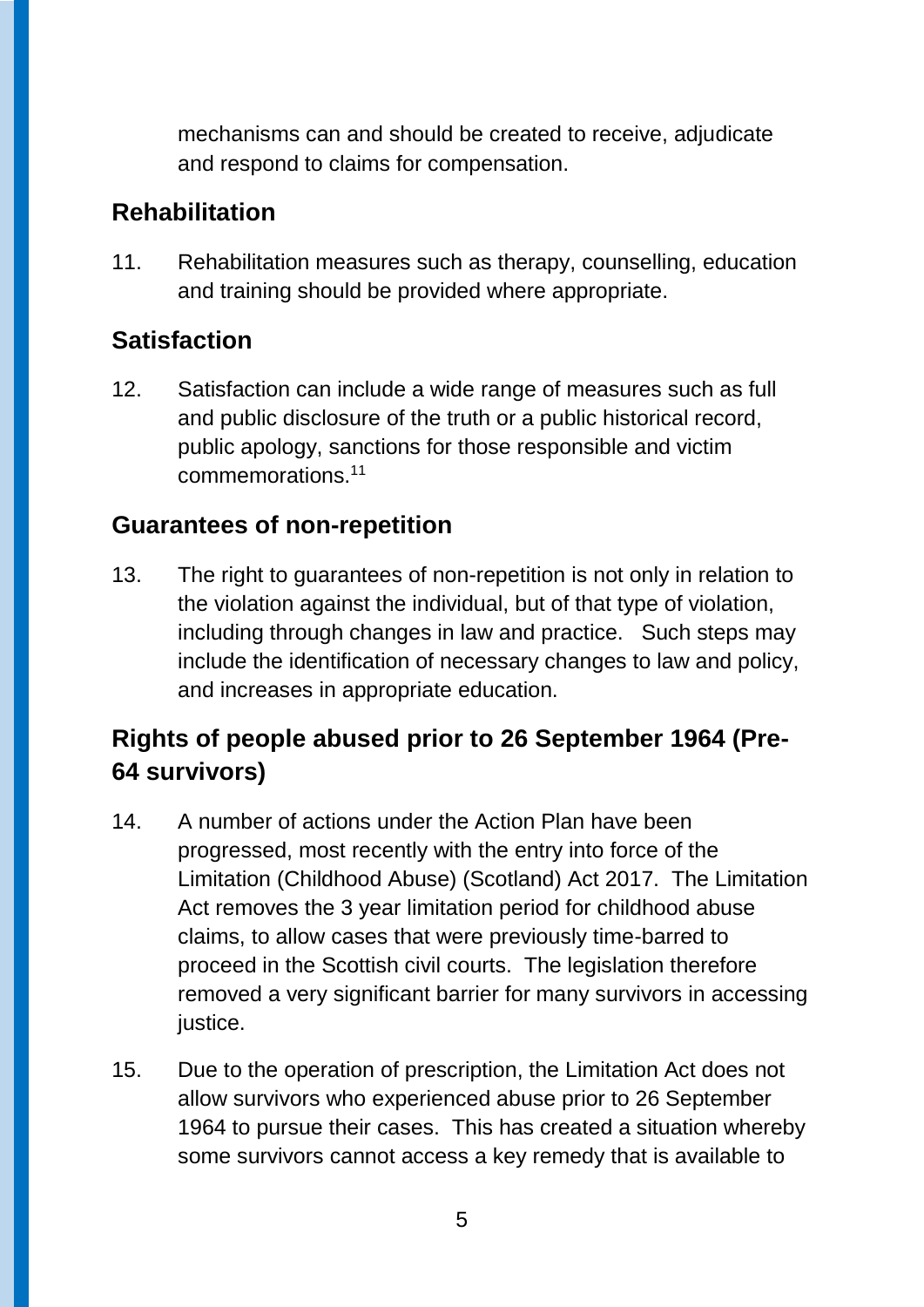mechanisms can and should be created to receive, adjudicate and respond to claims for compensation.

### **Rehabilitation**

11. Rehabilitation measures such as therapy, counselling, education and training should be provided where appropriate.

# **Satisfaction**

12. Satisfaction can include a wide range of measures such as full and public disclosure of the truth or a public historical record, public apology, sanctions for those responsible and victim commemorations.<sup>11</sup>

### **Guarantees of non-repetition**

13. The right to guarantees of non-repetition is not only in relation to the violation against the individual, but of that type of violation, including through changes in law and practice. Such steps may include the identification of necessary changes to law and policy, and increases in appropriate education.

# **Rights of people abused prior to 26 September 1964 (Pre-64 survivors)**

- 14. A number of actions under the Action Plan have been progressed, most recently with the entry into force of the Limitation (Childhood Abuse) (Scotland) Act 2017. The Limitation Act removes the 3 year limitation period for childhood abuse claims, to allow cases that were previously time-barred to proceed in the Scottish civil courts. The legislation therefore removed a very significant barrier for many survivors in accessing justice.
- 15. Due to the operation of prescription, the Limitation Act does not allow survivors who experienced abuse prior to 26 September 1964 to pursue their cases. This has created a situation whereby some survivors cannot access a key remedy that is available to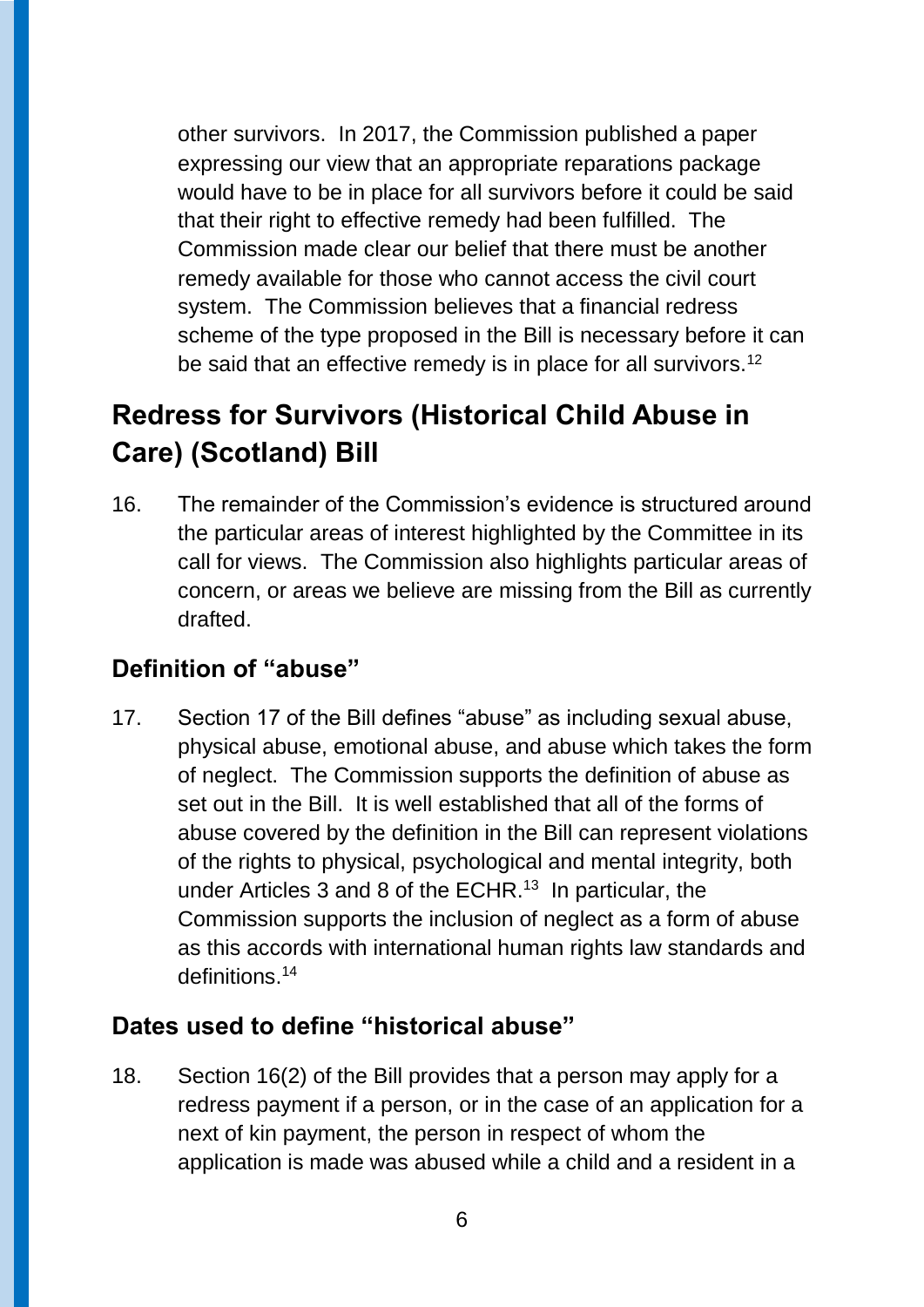other survivors. In 2017, the Commission published a paper expressing our view that an appropriate reparations package would have to be in place for all survivors before it could be said that their right to effective remedy had been fulfilled. The Commission made clear our belief that there must be another remedy available for those who cannot access the civil court system. The Commission believes that a financial redress scheme of the type proposed in the Bill is necessary before it can be said that an effective remedy is in place for all survivors.<sup>12</sup>

# **Redress for Survivors (Historical Child Abuse in Care) (Scotland) Bill**

16. The remainder of the Commission's evidence is structured around the particular areas of interest highlighted by the Committee in its call for views. The Commission also highlights particular areas of concern, or areas we believe are missing from the Bill as currently drafted.

# **Definition of "abuse"**

17. Section 17 of the Bill defines "abuse" as including sexual abuse, physical abuse, emotional abuse, and abuse which takes the form of neglect. The Commission supports the definition of abuse as set out in the Bill. It is well established that all of the forms of abuse covered by the definition in the Bill can represent violations of the rights to physical, psychological and mental integrity, both under Articles 3 and 8 of the ECHR.<sup>13</sup> In particular, the Commission supports the inclusion of neglect as a form of abuse as this accords with international human rights law standards and definitions.<sup>14</sup>

### **Dates used to define "historical abuse"**

18. Section 16(2) of the Bill provides that a person may apply for a redress payment if a person, or in the case of an application for a next of kin payment, the person in respect of whom the application is made was abused while a child and a resident in a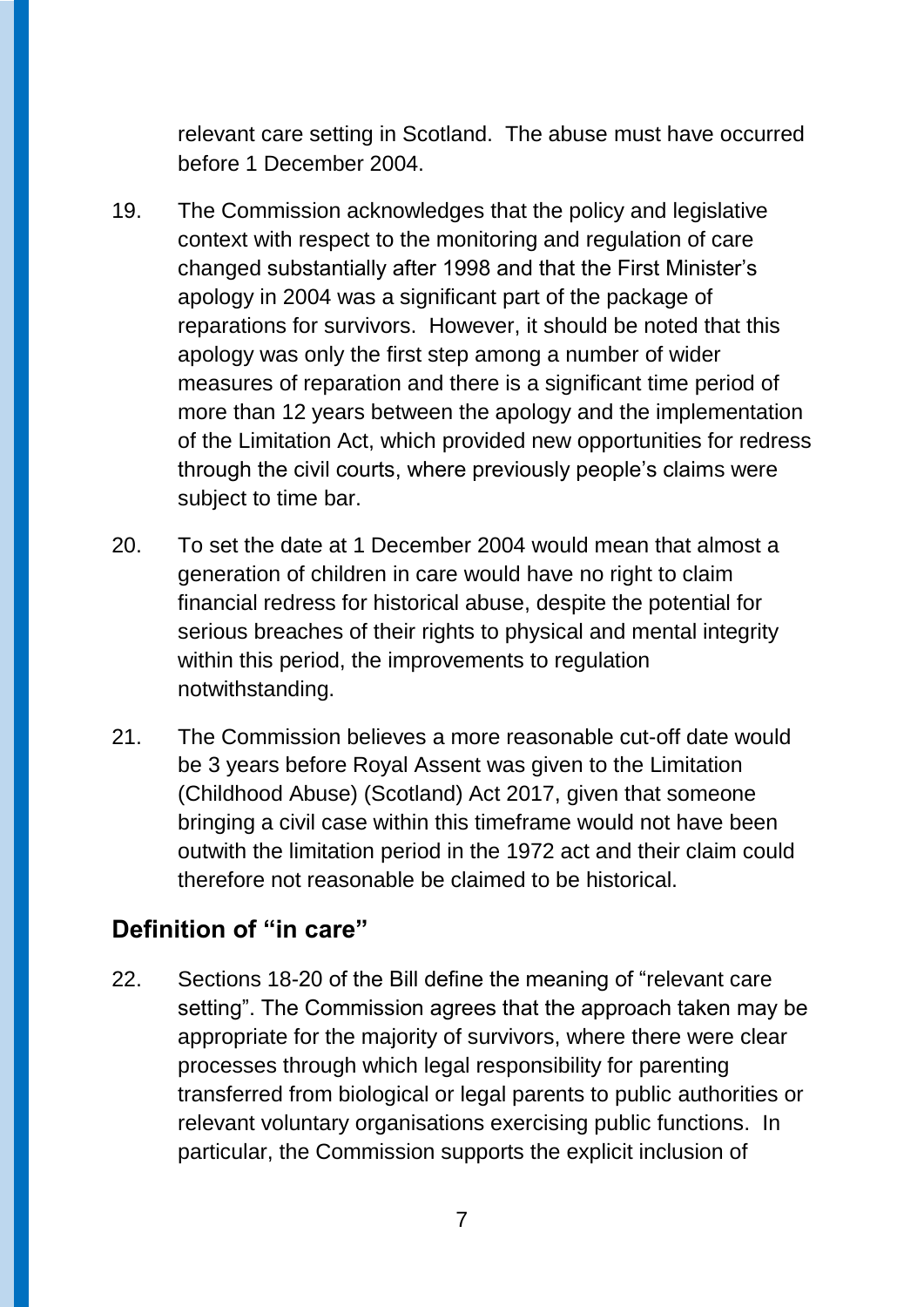relevant care setting in Scotland. The abuse must have occurred before 1 December 2004.

- 19. The Commission acknowledges that the policy and legislative context with respect to the monitoring and regulation of care changed substantially after 1998 and that the First Minister's apology in 2004 was a significant part of the package of reparations for survivors. However, it should be noted that this apology was only the first step among a number of wider measures of reparation and there is a significant time period of more than 12 years between the apology and the implementation of the Limitation Act, which provided new opportunities for redress through the civil courts, where previously people's claims were subject to time bar.
- 20. To set the date at 1 December 2004 would mean that almost a generation of children in care would have no right to claim financial redress for historical abuse, despite the potential for serious breaches of their rights to physical and mental integrity within this period, the improvements to regulation notwithstanding.
- 21. The Commission believes a more reasonable cut-off date would be 3 years before Royal Assent was given to the Limitation (Childhood Abuse) (Scotland) Act 2017, given that someone bringing a civil case within this timeframe would not have been outwith the limitation period in the 1972 act and their claim could therefore not reasonable be claimed to be historical.

### **Definition of "in care"**

22. Sections 18-20 of the Bill define the meaning of "relevant care setting". The Commission agrees that the approach taken may be appropriate for the majority of survivors, where there were clear processes through which legal responsibility for parenting transferred from biological or legal parents to public authorities or relevant voluntary organisations exercising public functions. In particular, the Commission supports the explicit inclusion of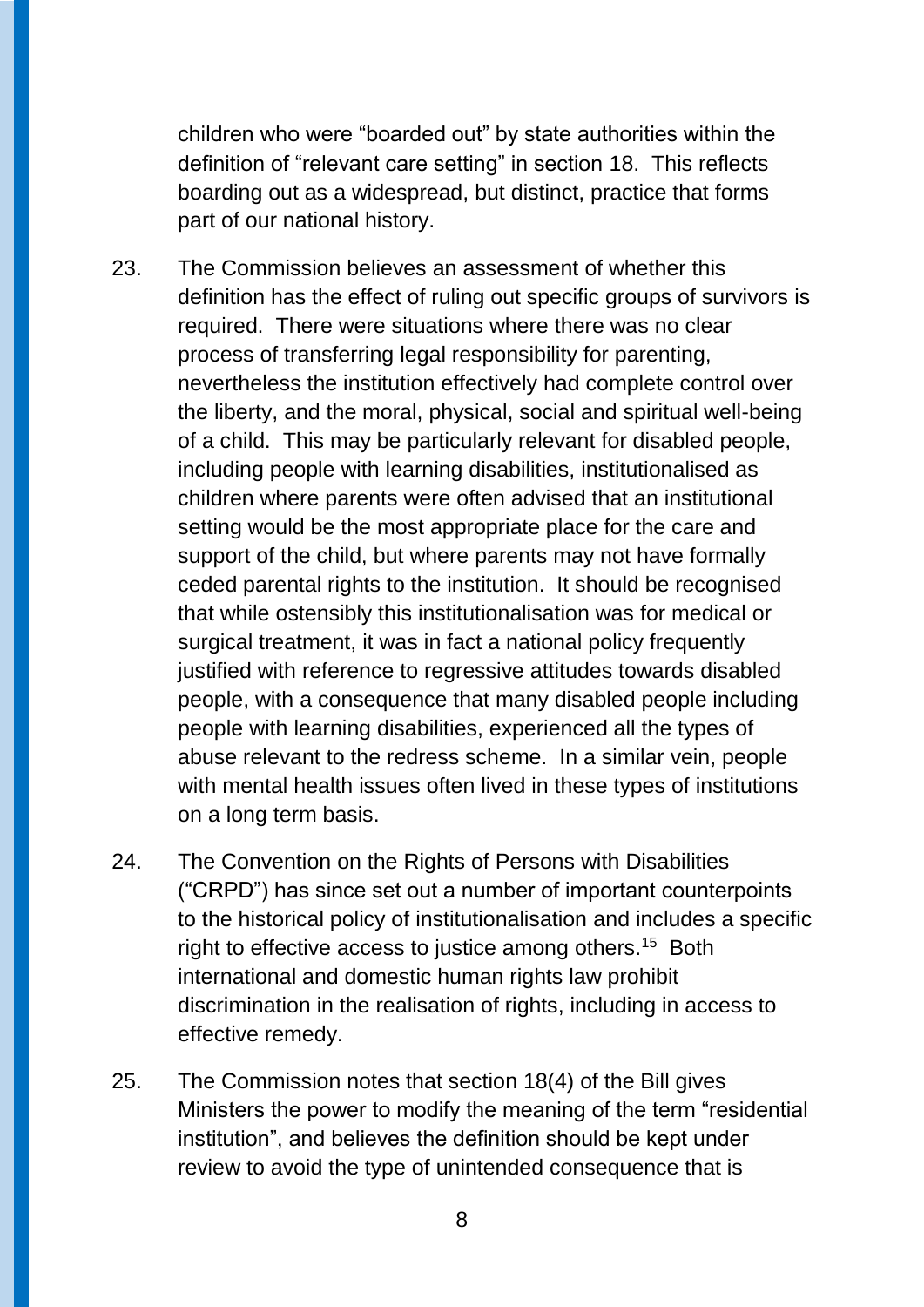children who were "boarded out" by state authorities within the definition of "relevant care setting" in section 18. This reflects boarding out as a widespread, but distinct, practice that forms part of our national history.

- 23. The Commission believes an assessment of whether this definition has the effect of ruling out specific groups of survivors is required. There were situations where there was no clear process of transferring legal responsibility for parenting, nevertheless the institution effectively had complete control over the liberty, and the moral, physical, social and spiritual well-being of a child. This may be particularly relevant for disabled people, including people with learning disabilities, institutionalised as children where parents were often advised that an institutional setting would be the most appropriate place for the care and support of the child, but where parents may not have formally ceded parental rights to the institution. It should be recognised that while ostensibly this institutionalisation was for medical or surgical treatment, it was in fact a national policy frequently justified with reference to regressive attitudes towards disabled people, with a consequence that many disabled people including people with learning disabilities, experienced all the types of abuse relevant to the redress scheme. In a similar vein, people with mental health issues often lived in these types of institutions on a long term basis.
- 24. The Convention on the Rights of Persons with Disabilities ("CRPD") has since set out a number of important counterpoints to the historical policy of institutionalisation and includes a specific right to effective access to justice among others.<sup>15</sup> Both international and domestic human rights law prohibit discrimination in the realisation of rights, including in access to effective remedy.
- 25. The Commission notes that section 18(4) of the Bill gives Ministers the power to modify the meaning of the term "residential institution", and believes the definition should be kept under review to avoid the type of unintended consequence that is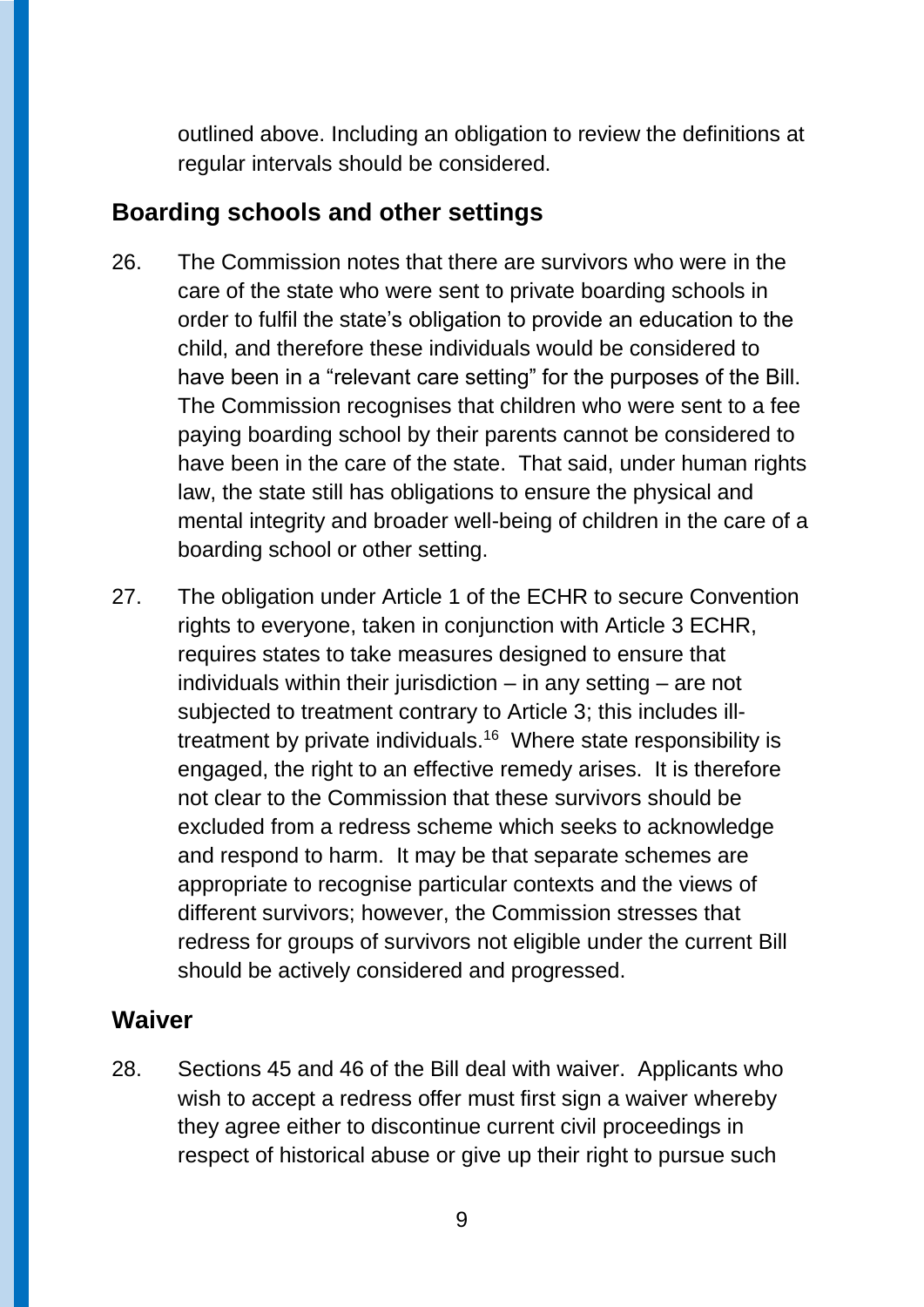outlined above. Including an obligation to review the definitions at regular intervals should be considered.

### **Boarding schools and other settings**

- 26. The Commission notes that there are survivors who were in the care of the state who were sent to private boarding schools in order to fulfil the state's obligation to provide an education to the child, and therefore these individuals would be considered to have been in a "relevant care setting" for the purposes of the Bill. The Commission recognises that children who were sent to a fee paying boarding school by their parents cannot be considered to have been in the care of the state. That said, under human rights law, the state still has obligations to ensure the physical and mental integrity and broader well-being of children in the care of a boarding school or other setting.
- 27. The obligation under Article 1 of the ECHR to secure Convention rights to everyone, taken in conjunction with Article 3 ECHR, requires states to take measures designed to ensure that individuals within their jurisdiction  $-$  in any setting  $-$  are not subjected to treatment contrary to Article 3; this includes illtreatment by private individuals. $16$  Where state responsibility is engaged, the right to an effective remedy arises. It is therefore not clear to the Commission that these survivors should be excluded from a redress scheme which seeks to acknowledge and respond to harm. It may be that separate schemes are appropriate to recognise particular contexts and the views of different survivors; however, the Commission stresses that redress for groups of survivors not eligible under the current Bill should be actively considered and progressed.

### **Waiver**

28. Sections 45 and 46 of the Bill deal with waiver. Applicants who wish to accept a redress offer must first sign a waiver whereby they agree either to discontinue current civil proceedings in respect of historical abuse or give up their right to pursue such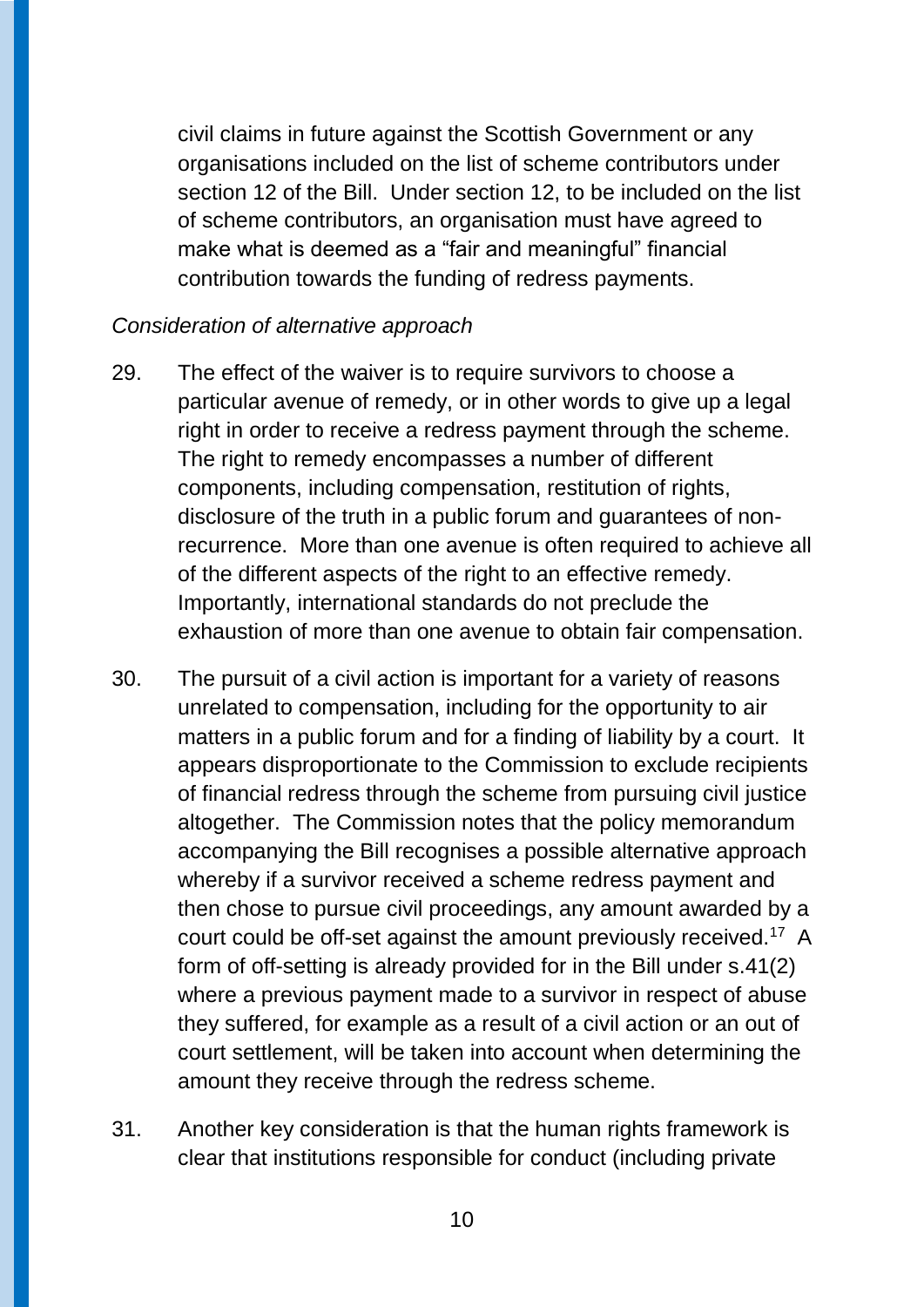civil claims in future against the Scottish Government or any organisations included on the list of scheme contributors under section 12 of the Bill. Under section 12, to be included on the list of scheme contributors, an organisation must have agreed to make what is deemed as a "fair and meaningful" financial contribution towards the funding of redress payments.

#### *Consideration of alternative approach*

- 29. The effect of the waiver is to require survivors to choose a particular avenue of remedy, or in other words to give up a legal right in order to receive a redress payment through the scheme. The right to remedy encompasses a number of different components, including compensation, restitution of rights, disclosure of the truth in a public forum and guarantees of nonrecurrence. More than one avenue is often required to achieve all of the different aspects of the right to an effective remedy. Importantly, international standards do not preclude the exhaustion of more than one avenue to obtain fair compensation.
- 30. The pursuit of a civil action is important for a variety of reasons unrelated to compensation, including for the opportunity to air matters in a public forum and for a finding of liability by a court. It appears disproportionate to the Commission to exclude recipients of financial redress through the scheme from pursuing civil justice altogether. The Commission notes that the policy memorandum accompanying the Bill recognises a possible alternative approach whereby if a survivor received a scheme redress payment and then chose to pursue civil proceedings, any amount awarded by a court could be off-set against the amount previously received.<sup>17</sup> A form of off-setting is already provided for in the Bill under s.41(2) where a previous payment made to a survivor in respect of abuse they suffered, for example as a result of a civil action or an out of court settlement, will be taken into account when determining the amount they receive through the redress scheme.
- 31. Another key consideration is that the human rights framework is clear that institutions responsible for conduct (including private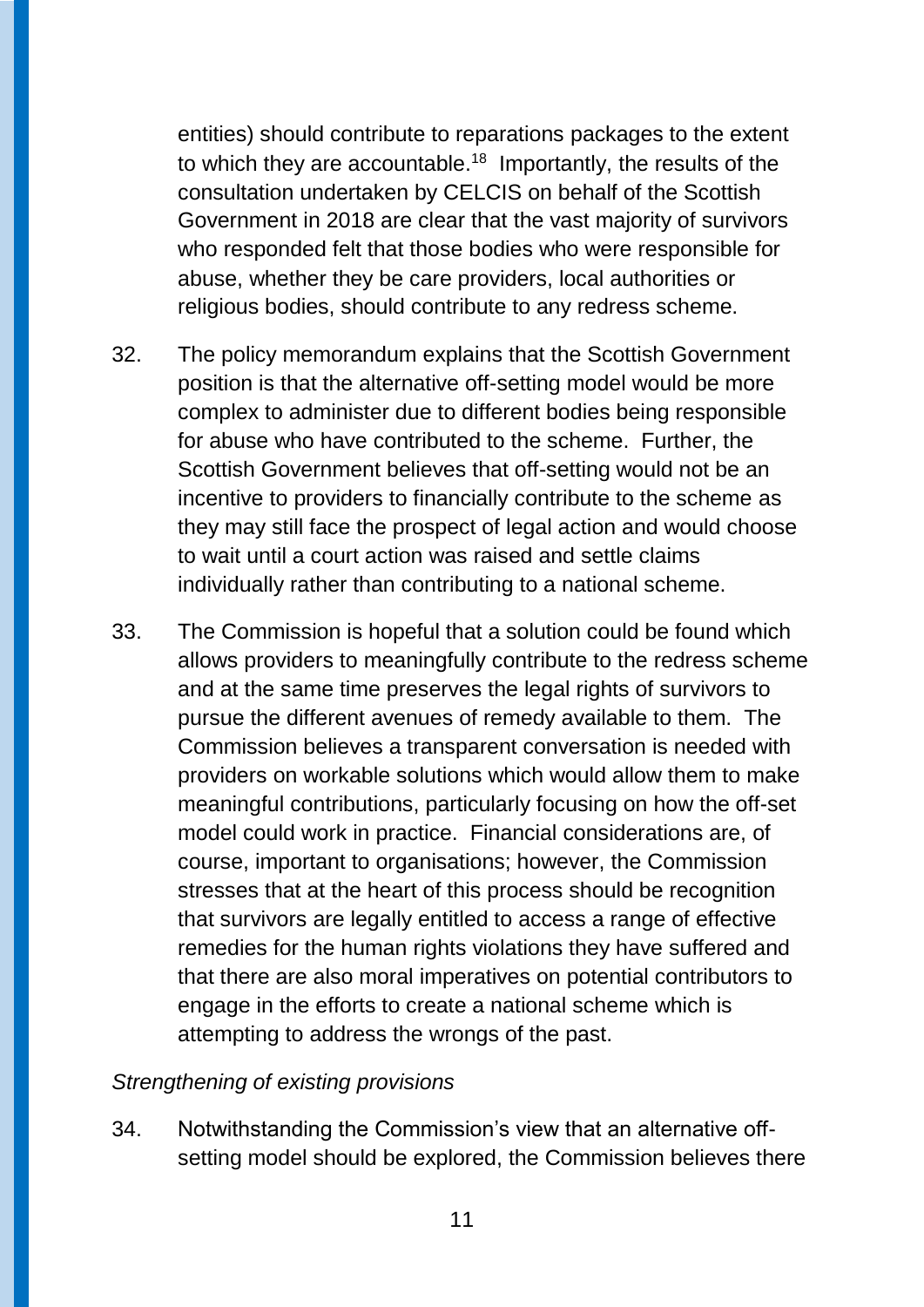entities) should contribute to reparations packages to the extent to which they are accountable.<sup>18</sup> Importantly, the results of the consultation undertaken by CELCIS on behalf of the Scottish Government in 2018 are clear that the vast majority of survivors who responded felt that those bodies who were responsible for abuse, whether they be care providers, local authorities or religious bodies, should contribute to any redress scheme.

- 32. The policy memorandum explains that the Scottish Government position is that the alternative off-setting model would be more complex to administer due to different bodies being responsible for abuse who have contributed to the scheme. Further, the Scottish Government believes that off-setting would not be an incentive to providers to financially contribute to the scheme as they may still face the prospect of legal action and would choose to wait until a court action was raised and settle claims individually rather than contributing to a national scheme.
- 33. The Commission is hopeful that a solution could be found which allows providers to meaningfully contribute to the redress scheme and at the same time preserves the legal rights of survivors to pursue the different avenues of remedy available to them. The Commission believes a transparent conversation is needed with providers on workable solutions which would allow them to make meaningful contributions, particularly focusing on how the off-set model could work in practice. Financial considerations are, of course, important to organisations; however, the Commission stresses that at the heart of this process should be recognition that survivors are legally entitled to access a range of effective remedies for the human rights violations they have suffered and that there are also moral imperatives on potential contributors to engage in the efforts to create a national scheme which is attempting to address the wrongs of the past.

#### *Strengthening of existing provisions*

34. Notwithstanding the Commission's view that an alternative offsetting model should be explored, the Commission believes there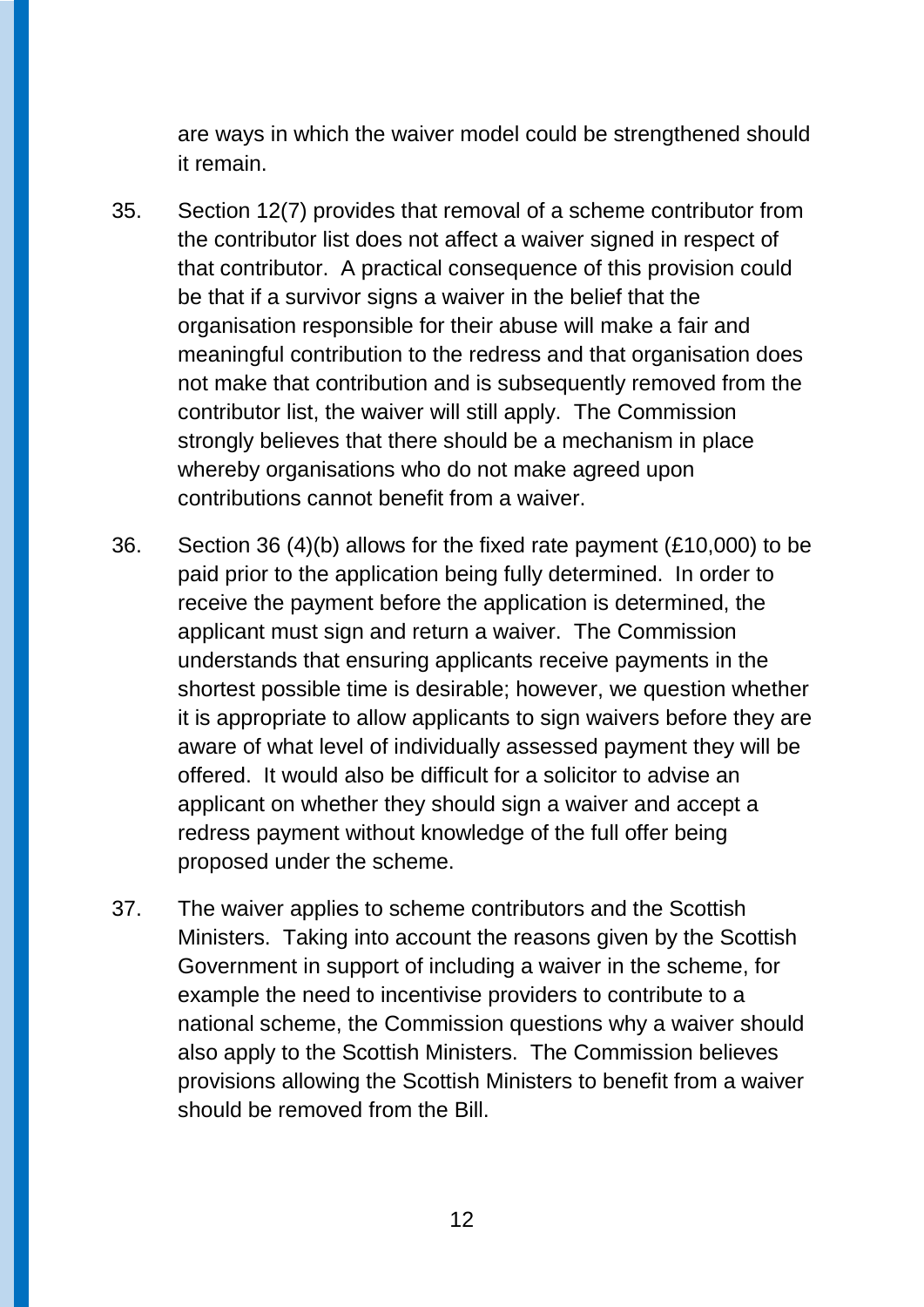are ways in which the waiver model could be strengthened should it remain.

- 35. Section 12(7) provides that removal of a scheme contributor from the contributor list does not affect a waiver signed in respect of that contributor. A practical consequence of this provision could be that if a survivor signs a waiver in the belief that the organisation responsible for their abuse will make a fair and meaningful contribution to the redress and that organisation does not make that contribution and is subsequently removed from the contributor list, the waiver will still apply. The Commission strongly believes that there should be a mechanism in place whereby organisations who do not make agreed upon contributions cannot benefit from a waiver.
- 36. Section 36 (4)(b) allows for the fixed rate payment (£10,000) to be paid prior to the application being fully determined. In order to receive the payment before the application is determined, the applicant must sign and return a waiver. The Commission understands that ensuring applicants receive payments in the shortest possible time is desirable; however, we question whether it is appropriate to allow applicants to sign waivers before they are aware of what level of individually assessed payment they will be offered. It would also be difficult for a solicitor to advise an applicant on whether they should sign a waiver and accept a redress payment without knowledge of the full offer being proposed under the scheme.
- 37. The waiver applies to scheme contributors and the Scottish Ministers. Taking into account the reasons given by the Scottish Government in support of including a waiver in the scheme, for example the need to incentivise providers to contribute to a national scheme, the Commission questions why a waiver should also apply to the Scottish Ministers. The Commission believes provisions allowing the Scottish Ministers to benefit from a waiver should be removed from the Bill.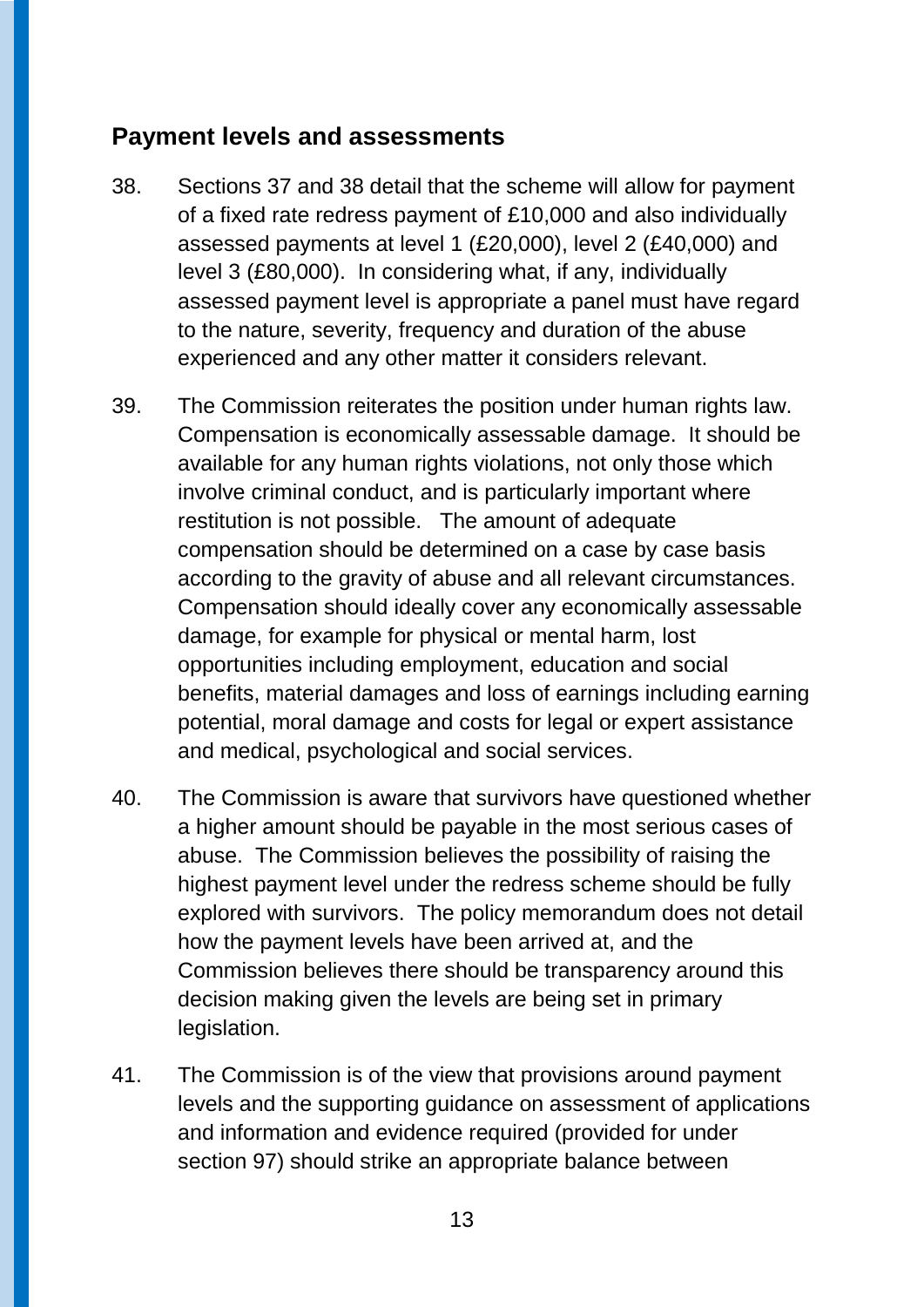### **Payment levels and assessments**

- 38. Sections 37 and 38 detail that the scheme will allow for payment of a fixed rate redress payment of £10,000 and also individually assessed payments at level 1 (£20,000), level 2 (£40,000) and level 3 (£80,000). In considering what, if any, individually assessed payment level is appropriate a panel must have regard to the nature, severity, frequency and duration of the abuse experienced and any other matter it considers relevant.
- 39. The Commission reiterates the position under human rights law. Compensation is economically assessable damage. It should be available for any human rights violations, not only those which involve criminal conduct, and is particularly important where restitution is not possible. The amount of adequate compensation should be determined on a case by case basis according to the gravity of abuse and all relevant circumstances. Compensation should ideally cover any economically assessable damage, for example for physical or mental harm, lost opportunities including employment, education and social benefits, material damages and loss of earnings including earning potential, moral damage and costs for legal or expert assistance and medical, psychological and social services.
- 40. The Commission is aware that survivors have questioned whether a higher amount should be payable in the most serious cases of abuse. The Commission believes the possibility of raising the highest payment level under the redress scheme should be fully explored with survivors. The policy memorandum does not detail how the payment levels have been arrived at, and the Commission believes there should be transparency around this decision making given the levels are being set in primary legislation.
- 41. The Commission is of the view that provisions around payment levels and the supporting guidance on assessment of applications and information and evidence required (provided for under section 97) should strike an appropriate balance between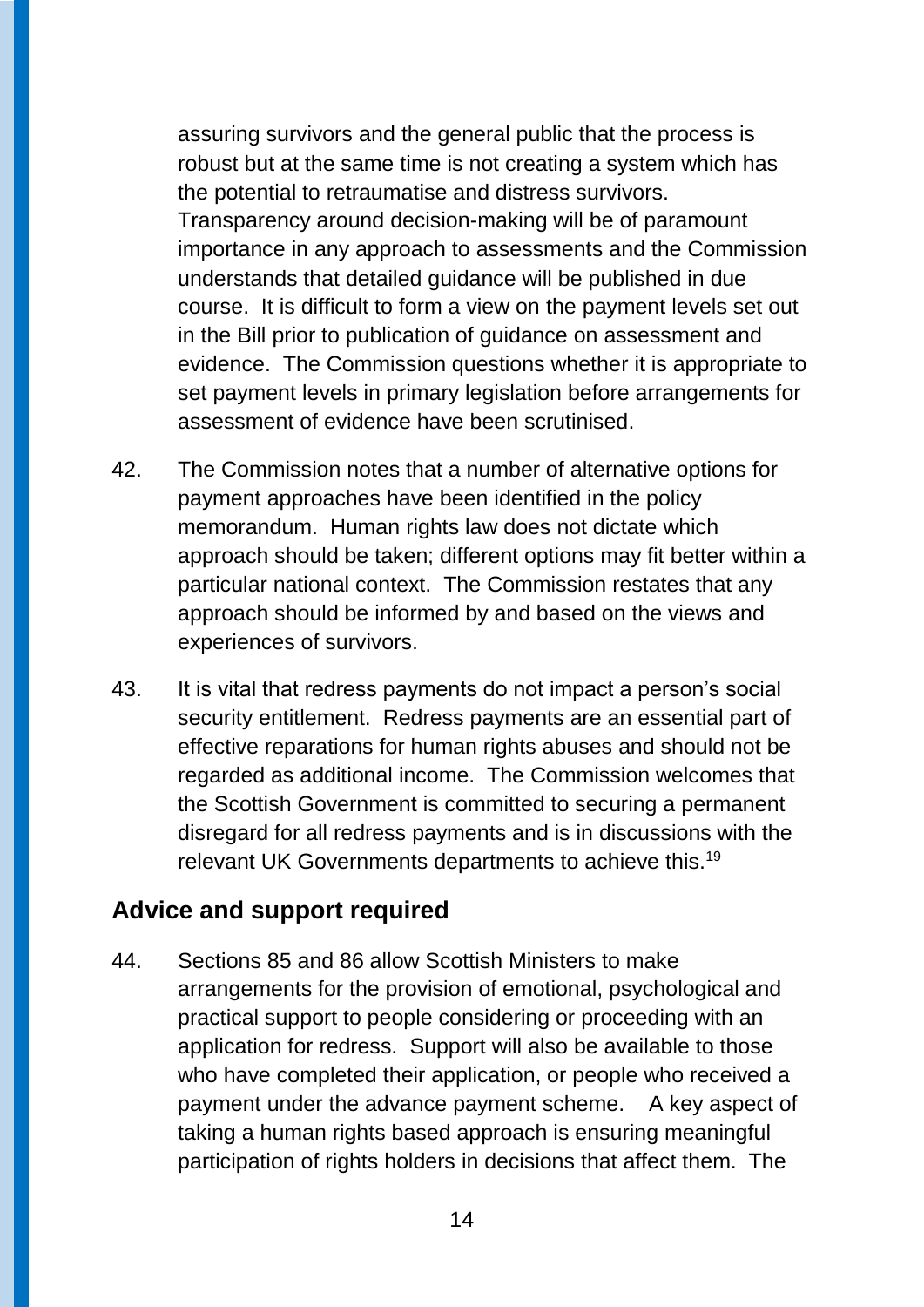assuring survivors and the general public that the process is robust but at the same time is not creating a system which has the potential to retraumatise and distress survivors. Transparency around decision-making will be of paramount importance in any approach to assessments and the Commission understands that detailed guidance will be published in due course. It is difficult to form a view on the payment levels set out in the Bill prior to publication of guidance on assessment and evidence. The Commission questions whether it is appropriate to set payment levels in primary legislation before arrangements for assessment of evidence have been scrutinised.

- 42. The Commission notes that a number of alternative options for payment approaches have been identified in the policy memorandum. Human rights law does not dictate which approach should be taken; different options may fit better within a particular national context. The Commission restates that any approach should be informed by and based on the views and experiences of survivors.
- 43. It is vital that redress payments do not impact a person's social security entitlement. Redress payments are an essential part of effective reparations for human rights abuses and should not be regarded as additional income. The Commission welcomes that the Scottish Government is committed to securing a permanent disregard for all redress payments and is in discussions with the relevant UK Governments departments to achieve this.<sup>19</sup>

### **Advice and support required**

44. Sections 85 and 86 allow Scottish Ministers to make arrangements for the provision of emotional, psychological and practical support to people considering or proceeding with an application for redress. Support will also be available to those who have completed their application, or people who received a payment under the advance payment scheme. A key aspect of taking a human rights based approach is ensuring meaningful participation of rights holders in decisions that affect them. The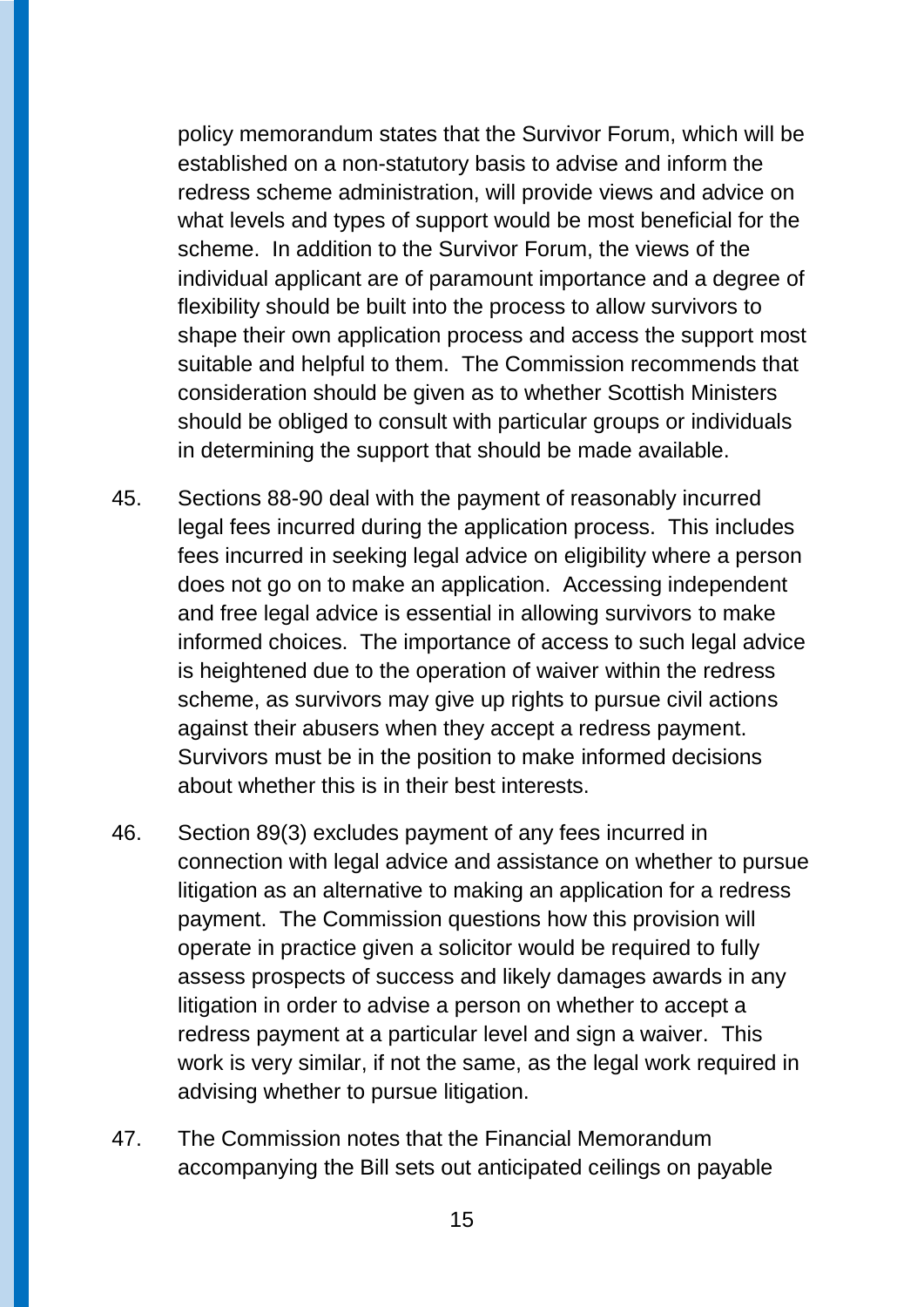policy memorandum states that the Survivor Forum, which will be established on a non-statutory basis to advise and inform the redress scheme administration, will provide views and advice on what levels and types of support would be most beneficial for the scheme. In addition to the Survivor Forum, the views of the individual applicant are of paramount importance and a degree of flexibility should be built into the process to allow survivors to shape their own application process and access the support most suitable and helpful to them. The Commission recommends that consideration should be given as to whether Scottish Ministers should be obliged to consult with particular groups or individuals in determining the support that should be made available.

- 45. Sections 88-90 deal with the payment of reasonably incurred legal fees incurred during the application process. This includes fees incurred in seeking legal advice on eligibility where a person does not go on to make an application. Accessing independent and free legal advice is essential in allowing survivors to make informed choices. The importance of access to such legal advice is heightened due to the operation of waiver within the redress scheme, as survivors may give up rights to pursue civil actions against their abusers when they accept a redress payment. Survivors must be in the position to make informed decisions about whether this is in their best interests.
- 46. Section 89(3) excludes payment of any fees incurred in connection with legal advice and assistance on whether to pursue litigation as an alternative to making an application for a redress payment. The Commission questions how this provision will operate in practice given a solicitor would be required to fully assess prospects of success and likely damages awards in any litigation in order to advise a person on whether to accept a redress payment at a particular level and sign a waiver. This work is very similar, if not the same, as the legal work required in advising whether to pursue litigation.
- 47. The Commission notes that the Financial Memorandum accompanying the Bill sets out anticipated ceilings on payable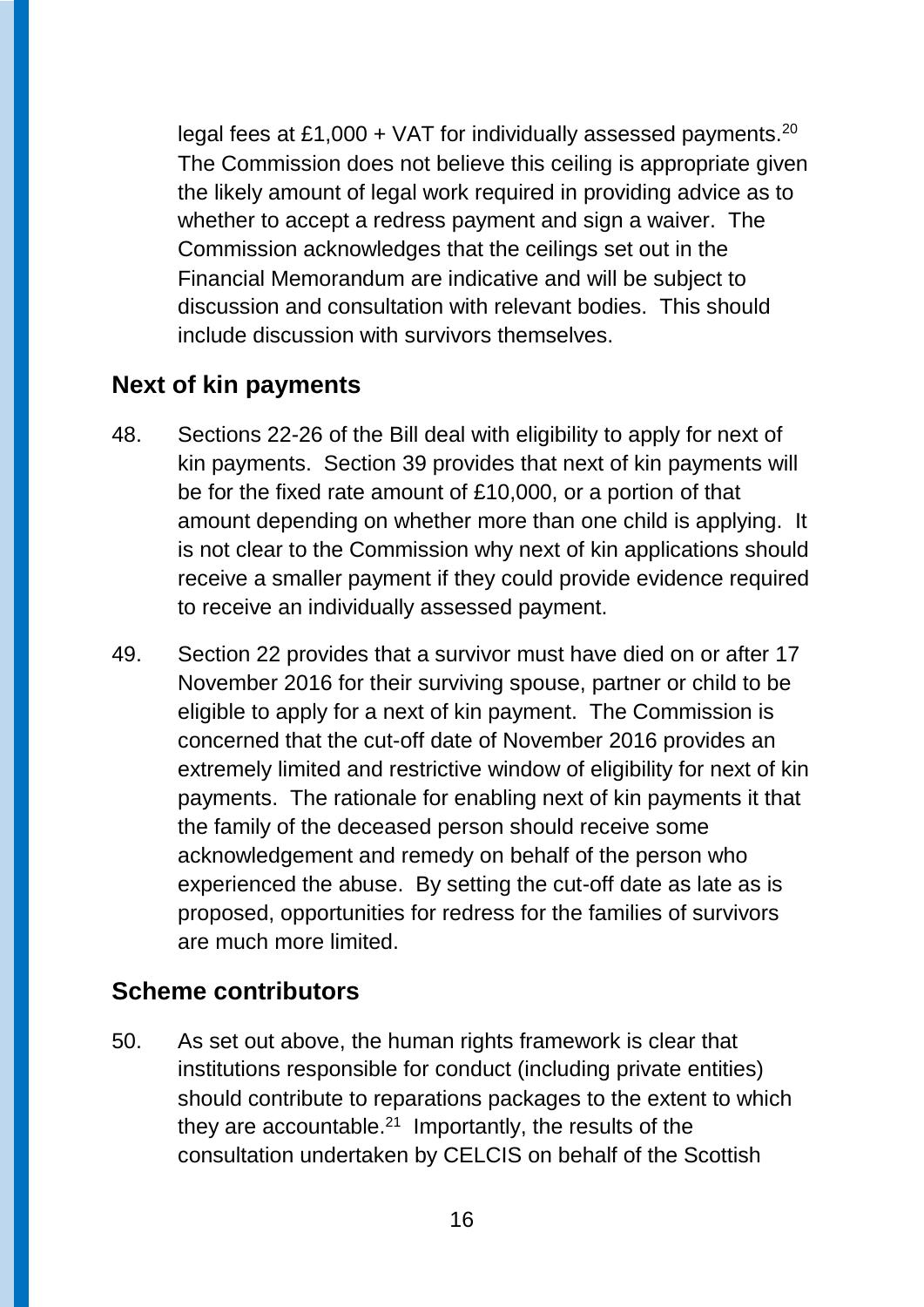legal fees at £1,000 + VAT for individually assessed payments.<sup>20</sup> The Commission does not believe this ceiling is appropriate given the likely amount of legal work required in providing advice as to whether to accept a redress payment and sign a waiver. The Commission acknowledges that the ceilings set out in the Financial Memorandum are indicative and will be subject to discussion and consultation with relevant bodies. This should include discussion with survivors themselves.

### **Next of kin payments**

- 48. Sections 22-26 of the Bill deal with eligibility to apply for next of kin payments. Section 39 provides that next of kin payments will be for the fixed rate amount of £10,000, or a portion of that amount depending on whether more than one child is applying. It is not clear to the Commission why next of kin applications should receive a smaller payment if they could provide evidence required to receive an individually assessed payment.
- 49. Section 22 provides that a survivor must have died on or after 17 November 2016 for their surviving spouse, partner or child to be eligible to apply for a next of kin payment. The Commission is concerned that the cut-off date of November 2016 provides an extremely limited and restrictive window of eligibility for next of kin payments. The rationale for enabling next of kin payments it that the family of the deceased person should receive some acknowledgement and remedy on behalf of the person who experienced the abuse. By setting the cut-off date as late as is proposed, opportunities for redress for the families of survivors are much more limited.

### **Scheme contributors**

50. As set out above, the human rights framework is clear that institutions responsible for conduct (including private entities) should contribute to reparations packages to the extent to which they are accountable. $^{21}$  Importantly, the results of the consultation undertaken by CELCIS on behalf of the Scottish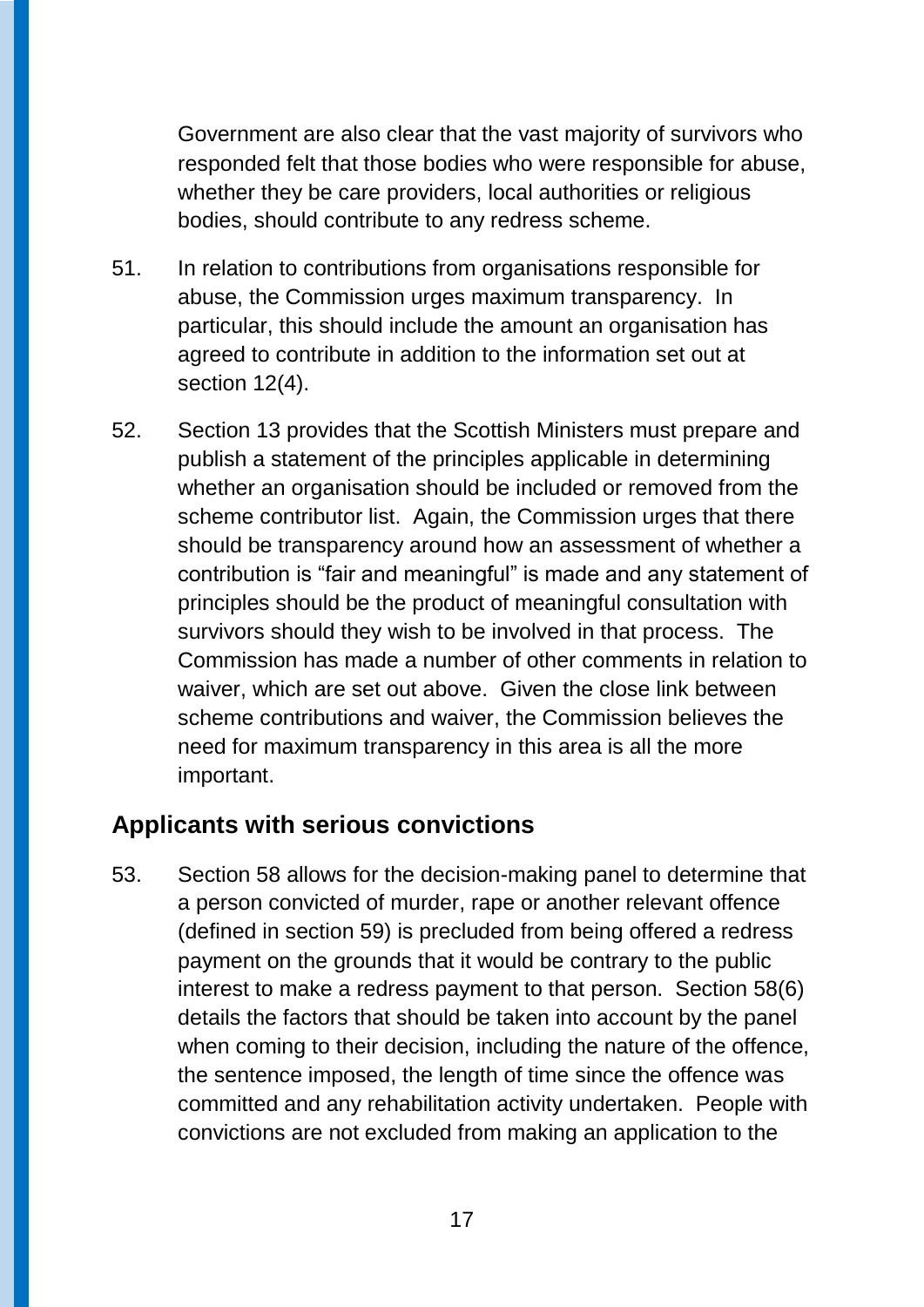Government are also clear that the vast majority of survivors who responded felt that those bodies who were responsible for abuse, whether they be care providers, local authorities or religious bodies, should contribute to any redress scheme.

- 51. In relation to contributions from organisations responsible for abuse, the Commission urges maximum transparency. In particular, this should include the amount an organisation has agreed to contribute in addition to the information set out at section 12(4).
- 52. Section 13 provides that the Scottish Ministers must prepare and publish a statement of the principles applicable in determining whether an organisation should be included or removed from the scheme contributor list. Again, the Commission urges that there should be transparency around how an assessment of whether a contribution is "fair and meaningful" is made and any statement of principles should be the product of meaningful consultation with survivors should they wish to be involved in that process. The Commission has made a number of other comments in relation to waiver, which are set out above. Given the close link between scheme contributions and waiver, the Commission believes the need for maximum transparency in this area is all the more important.

### **Applicants with serious convictions**

53. Section 58 allows for the decision-making panel to determine that a person convicted of murder, rape or another relevant offence (defined in section 59) is precluded from being offered a redress payment on the grounds that it would be contrary to the public interest to make a redress payment to that person. Section 58(6) details the factors that should be taken into account by the panel when coming to their decision, including the nature of the offence, the sentence imposed, the length of time since the offence was committed and any rehabilitation activity undertaken. People with convictions are not excluded from making an application to the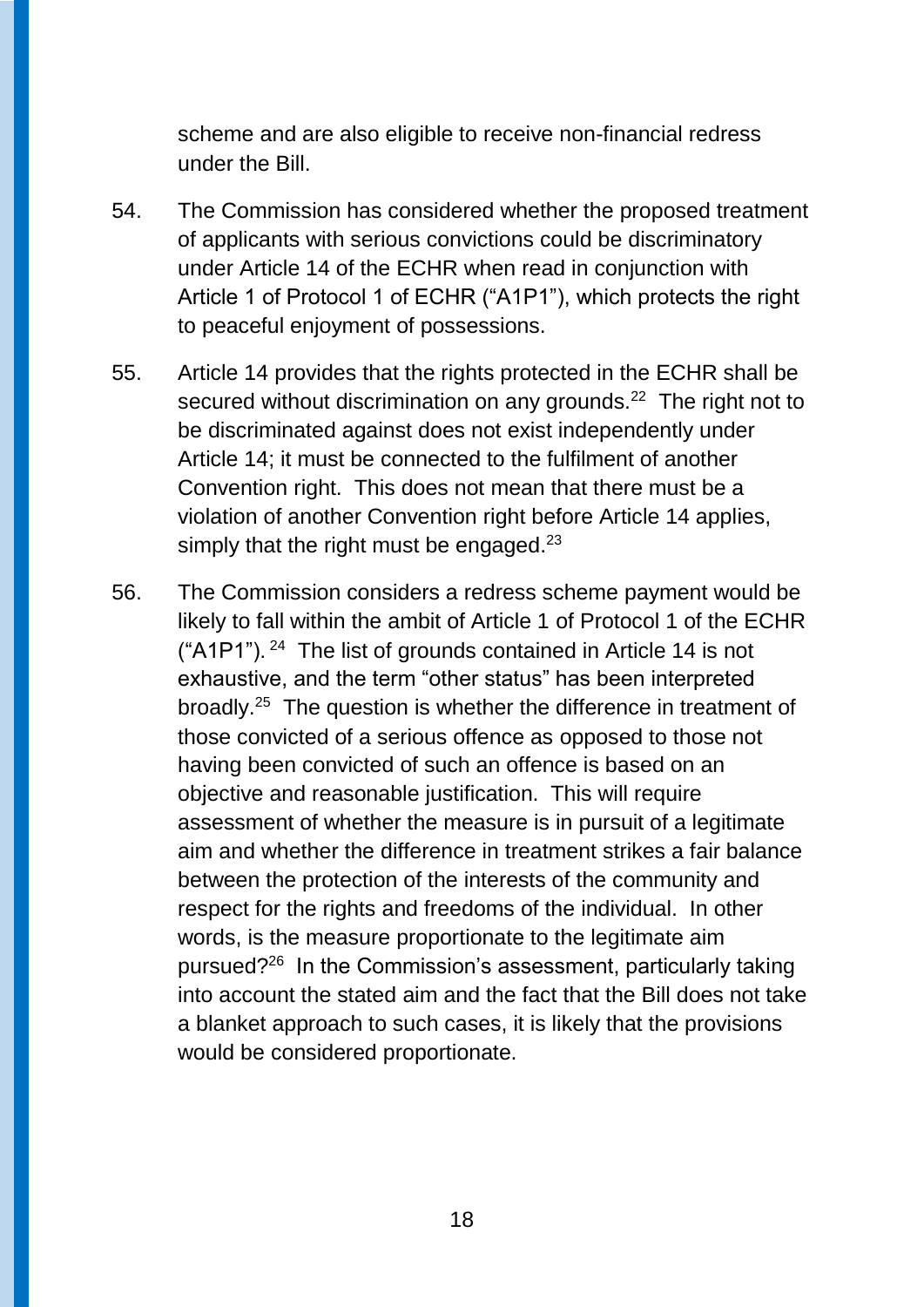scheme and are also eligible to receive non-financial redress under the Bill.

- 54. The Commission has considered whether the proposed treatment of applicants with serious convictions could be discriminatory under Article 14 of the ECHR when read in conjunction with Article 1 of Protocol 1 of ECHR ("A1P1"), which protects the right to peaceful enjoyment of possessions.
- 55. Article 14 provides that the rights protected in the ECHR shall be secured without discrimination on any grounds.<sup>22</sup> The right not to be discriminated against does not exist independently under Article 14; it must be connected to the fulfilment of another Convention right. This does not mean that there must be a violation of another Convention right before Article 14 applies, simply that the right must be engaged.<sup>23</sup>
- 56. The Commission considers a redress scheme payment would be likely to fall within the ambit of Article 1 of Protocol 1 of the ECHR ("A1P1").<sup>24</sup> The list of grounds contained in Article 14 is not exhaustive, and the term "other status" has been interpreted broadly.<sup>25</sup> The question is whether the difference in treatment of those convicted of a serious offence as opposed to those not having been convicted of such an offence is based on an objective and reasonable justification. This will require assessment of whether the measure is in pursuit of a legitimate aim and whether the difference in treatment strikes a fair balance between the protection of the interests of the community and respect for the rights and freedoms of the individual. In other words, is the measure proportionate to the legitimate aim pursued?<sup>26</sup> In the Commission's assessment, particularly taking into account the stated aim and the fact that the Bill does not take a blanket approach to such cases, it is likely that the provisions would be considered proportionate.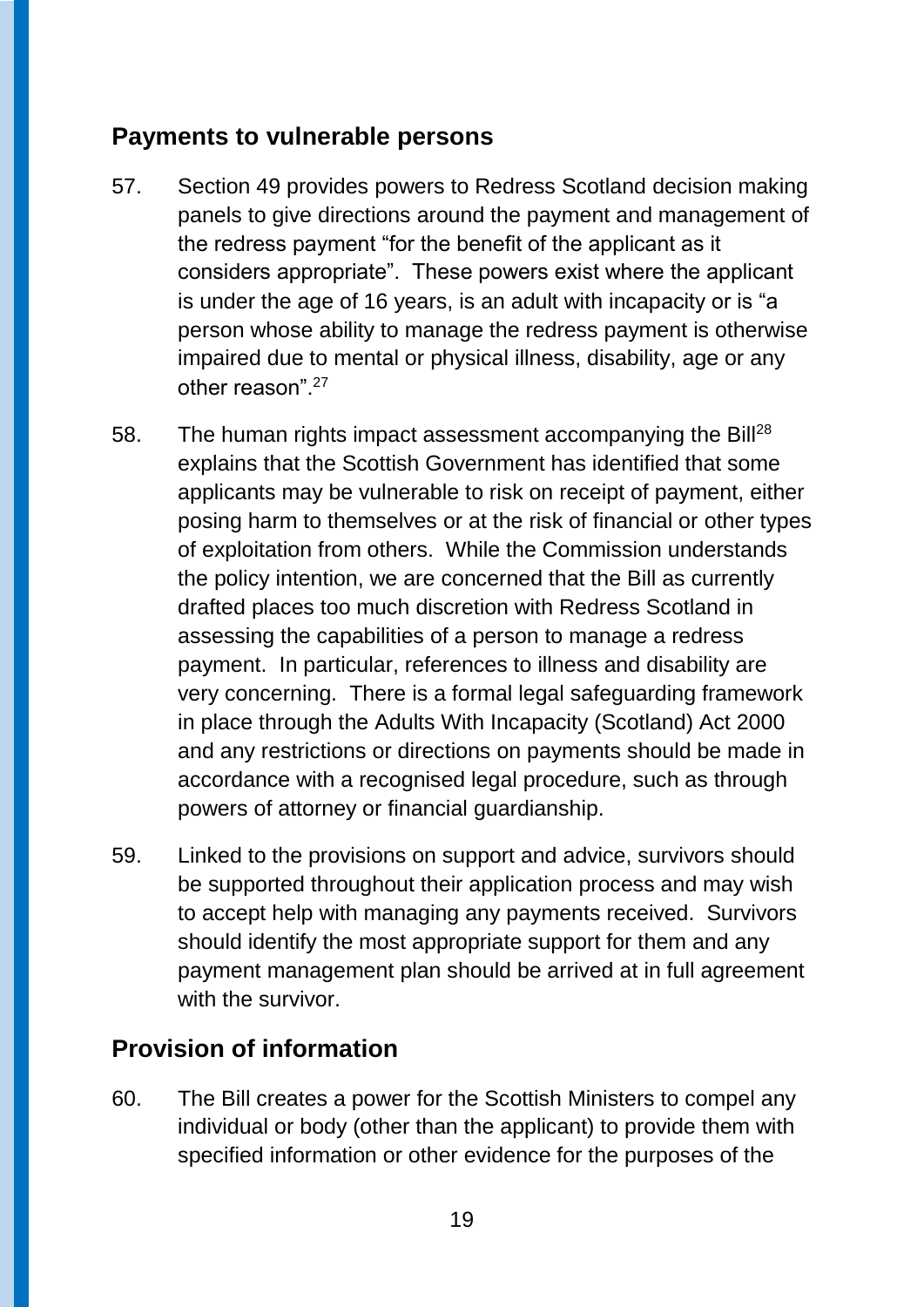### **Payments to vulnerable persons**

- 57. Section 49 provides powers to Redress Scotland decision making panels to give directions around the payment and management of the redress payment "for the benefit of the applicant as it considers appropriate". These powers exist where the applicant is under the age of 16 years, is an adult with incapacity or is "a person whose ability to manage the redress payment is otherwise impaired due to mental or physical illness, disability, age or any other reason".<sup>27</sup>
- 58. The human rights impact assessment accompanying the Bill<sup>28</sup> explains that the Scottish Government has identified that some applicants may be vulnerable to risk on receipt of payment, either posing harm to themselves or at the risk of financial or other types of exploitation from others. While the Commission understands the policy intention, we are concerned that the Bill as currently drafted places too much discretion with Redress Scotland in assessing the capabilities of a person to manage a redress payment. In particular, references to illness and disability are very concerning. There is a formal legal safeguarding framework in place through the Adults With Incapacity (Scotland) Act 2000 and any restrictions or directions on payments should be made in accordance with a recognised legal procedure, such as through powers of attorney or financial guardianship.
- 59. Linked to the provisions on support and advice, survivors should be supported throughout their application process and may wish to accept help with managing any payments received. Survivors should identify the most appropriate support for them and any payment management plan should be arrived at in full agreement with the survivor.

### **Provision of information**

60. The Bill creates a power for the Scottish Ministers to compel any individual or body (other than the applicant) to provide them with specified information or other evidence for the purposes of the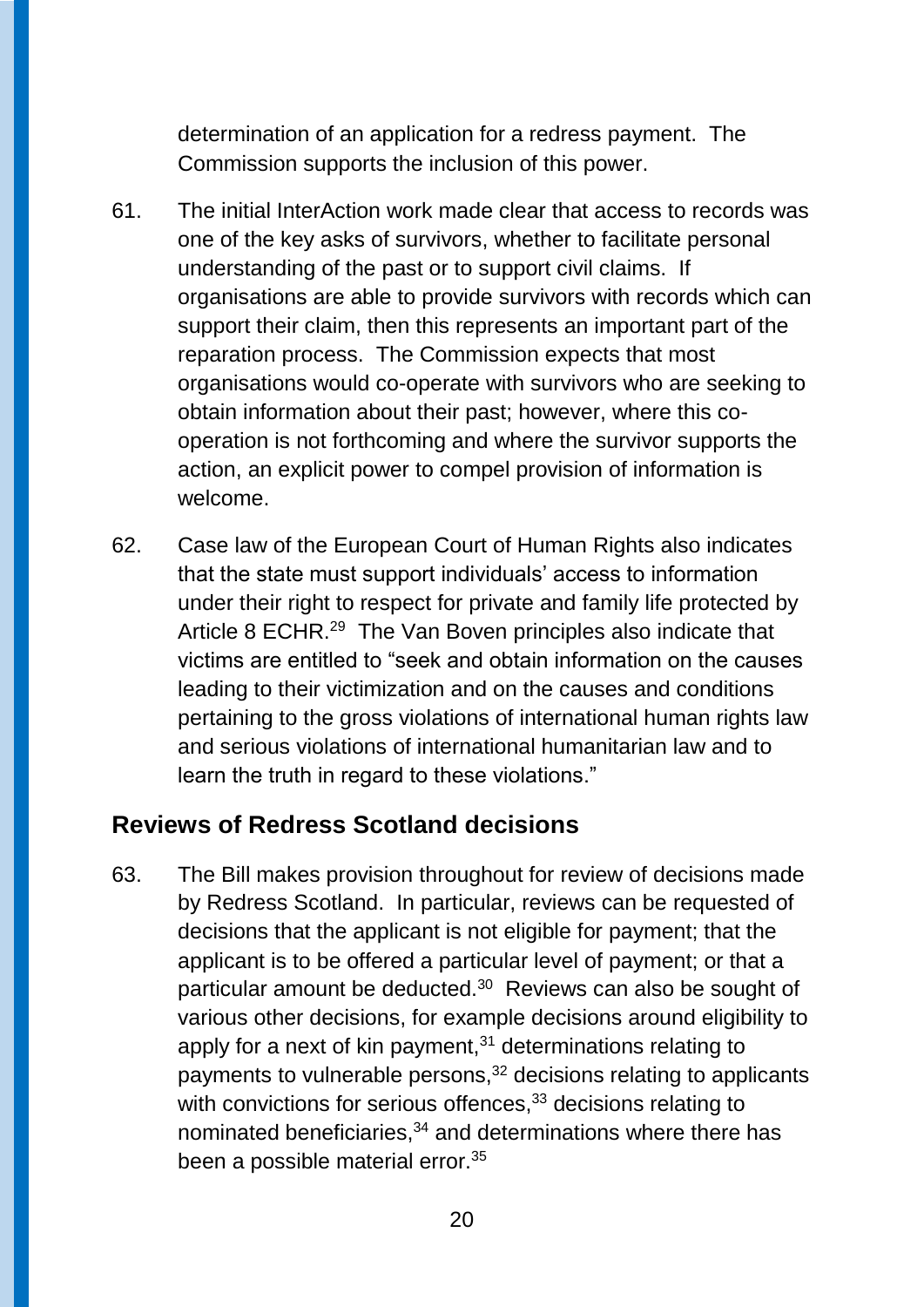determination of an application for a redress payment. The Commission supports the inclusion of this power.

- 61. The initial InterAction work made clear that access to records was one of the key asks of survivors, whether to facilitate personal understanding of the past or to support civil claims. If organisations are able to provide survivors with records which can support their claim, then this represents an important part of the reparation process. The Commission expects that most organisations would co-operate with survivors who are seeking to obtain information about their past; however, where this cooperation is not forthcoming and where the survivor supports the action, an explicit power to compel provision of information is welcome.
- 62. Case law of the European Court of Human Rights also indicates that the state must support individuals' access to information under their right to respect for private and family life protected by Article 8 ECHR.<sup>29</sup> The Van Boven principles also indicate that victims are entitled to "seek and obtain information on the causes leading to their victimization and on the causes and conditions pertaining to the gross violations of international human rights law and serious violations of international humanitarian law and to learn the truth in regard to these violations."

### **Reviews of Redress Scotland decisions**

63. The Bill makes provision throughout for review of decisions made by Redress Scotland. In particular, reviews can be requested of decisions that the applicant is not eligible for payment; that the applicant is to be offered a particular level of payment; or that a particular amount be deducted.<sup>30</sup> Reviews can also be sought of various other decisions, for example decisions around eligibility to apply for a next of kin payment, $31$  determinations relating to payments to vulnerable persons,<sup>32</sup> decisions relating to applicants with convictions for serious offences,<sup>33</sup> decisions relating to nominated beneficiaries,<sup>34</sup> and determinations where there has been a possible material error.<sup>35</sup>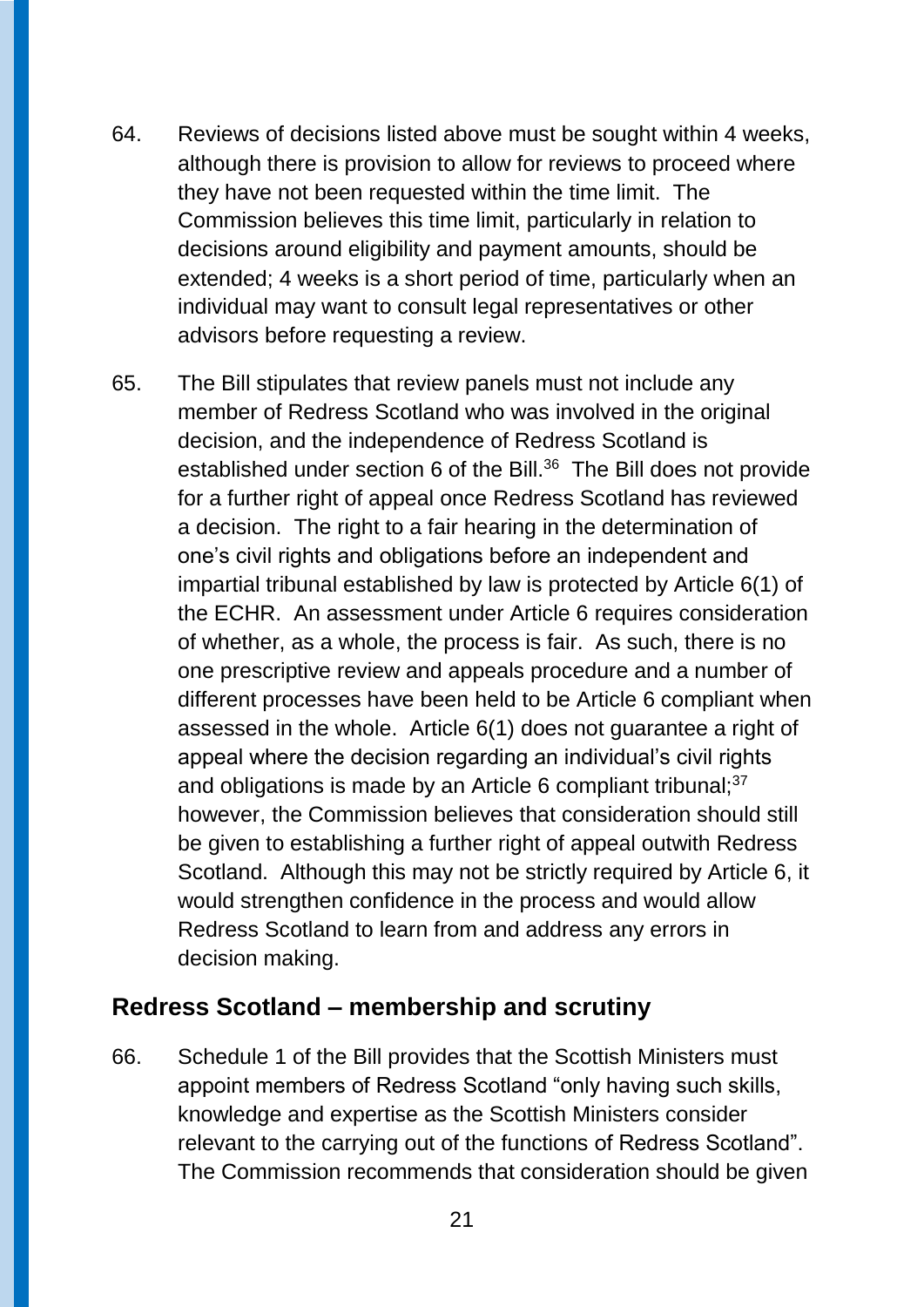- 64. Reviews of decisions listed above must be sought within 4 weeks, although there is provision to allow for reviews to proceed where they have not been requested within the time limit. The Commission believes this time limit, particularly in relation to decisions around eligibility and payment amounts, should be extended; 4 weeks is a short period of time, particularly when an individual may want to consult legal representatives or other advisors before requesting a review.
- 65. The Bill stipulates that review panels must not include any member of Redress Scotland who was involved in the original decision, and the independence of Redress Scotland is established under section 6 of the Bill. $36$  The Bill does not provide for a further right of appeal once Redress Scotland has reviewed a decision. The right to a fair hearing in the determination of one's civil rights and obligations before an independent and impartial tribunal established by law is protected by Article 6(1) of the ECHR. An assessment under Article 6 requires consideration of whether, as a whole, the process is fair. As such, there is no one prescriptive review and appeals procedure and a number of different processes have been held to be Article 6 compliant when assessed in the whole. Article 6(1) does not guarantee a right of appeal where the decision regarding an individual's civil rights and obligations is made by an Article 6 compliant tribunal; $37$ however, the Commission believes that consideration should still be given to establishing a further right of appeal outwith Redress Scotland. Although this may not be strictly required by Article 6, it would strengthen confidence in the process and would allow Redress Scotland to learn from and address any errors in decision making.

### **Redress Scotland – membership and scrutiny**

66. Schedule 1 of the Bill provides that the Scottish Ministers must appoint members of Redress Scotland "only having such skills, knowledge and expertise as the Scottish Ministers consider relevant to the carrying out of the functions of Redress Scotland". The Commission recommends that consideration should be given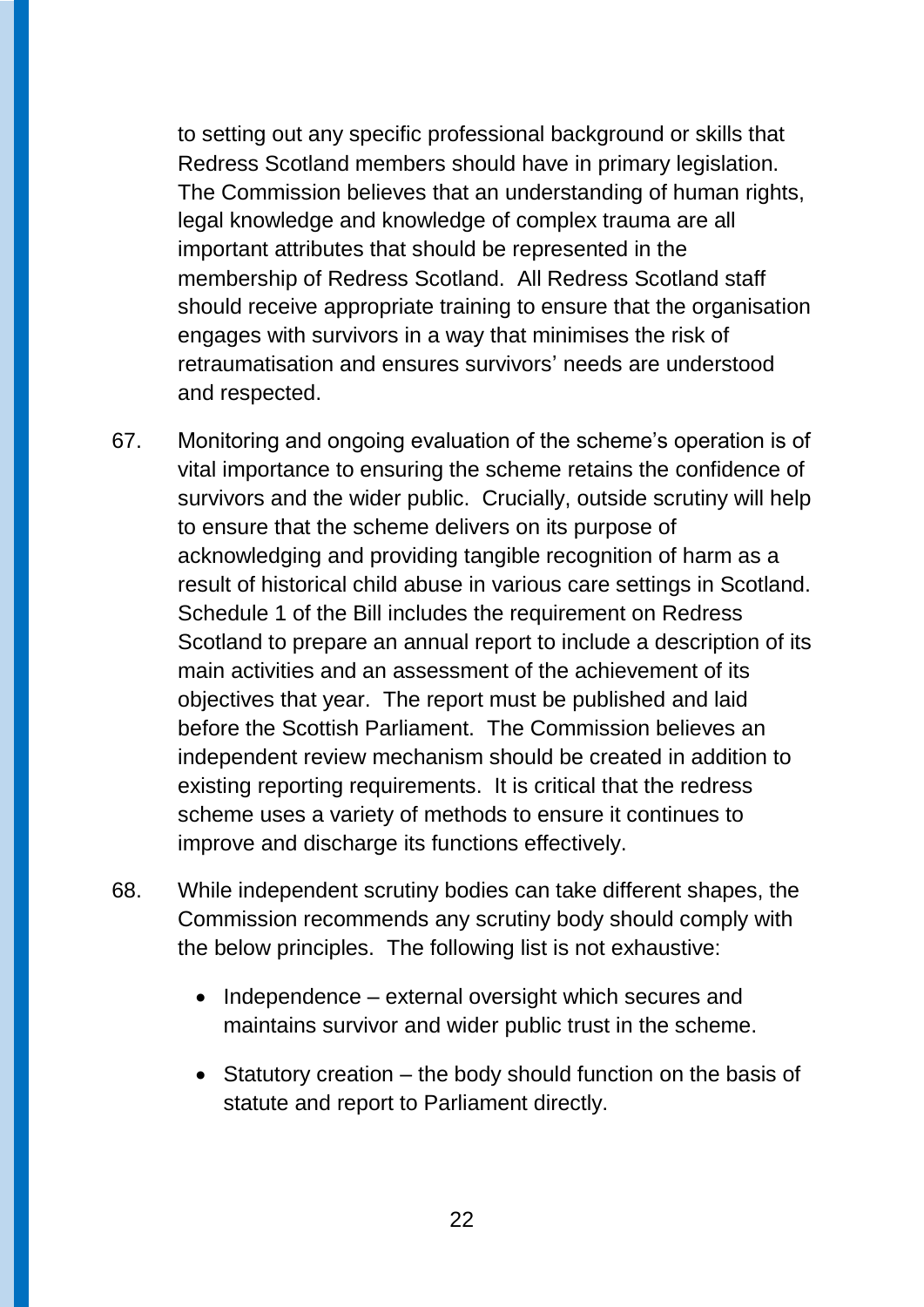to setting out any specific professional background or skills that Redress Scotland members should have in primary legislation. The Commission believes that an understanding of human rights, legal knowledge and knowledge of complex trauma are all important attributes that should be represented in the membership of Redress Scotland. All Redress Scotland staff should receive appropriate training to ensure that the organisation engages with survivors in a way that minimises the risk of retraumatisation and ensures survivors' needs are understood and respected.

- 67. Monitoring and ongoing evaluation of the scheme's operation is of vital importance to ensuring the scheme retains the confidence of survivors and the wider public. Crucially, outside scrutiny will help to ensure that the scheme delivers on its purpose of acknowledging and providing tangible recognition of harm as a result of historical child abuse in various care settings in Scotland. Schedule 1 of the Bill includes the requirement on Redress Scotland to prepare an annual report to include a description of its main activities and an assessment of the achievement of its objectives that year. The report must be published and laid before the Scottish Parliament. The Commission believes an independent review mechanism should be created in addition to existing reporting requirements. It is critical that the redress scheme uses a variety of methods to ensure it continues to improve and discharge its functions effectively.
- 68. While independent scrutiny bodies can take different shapes, the Commission recommends any scrutiny body should comply with the below principles. The following list is not exhaustive:
	- $\bullet$  Independence external oversight which secures and maintains survivor and wider public trust in the scheme.
	- $\bullet$  Statutory creation the body should function on the basis of statute and report to Parliament directly.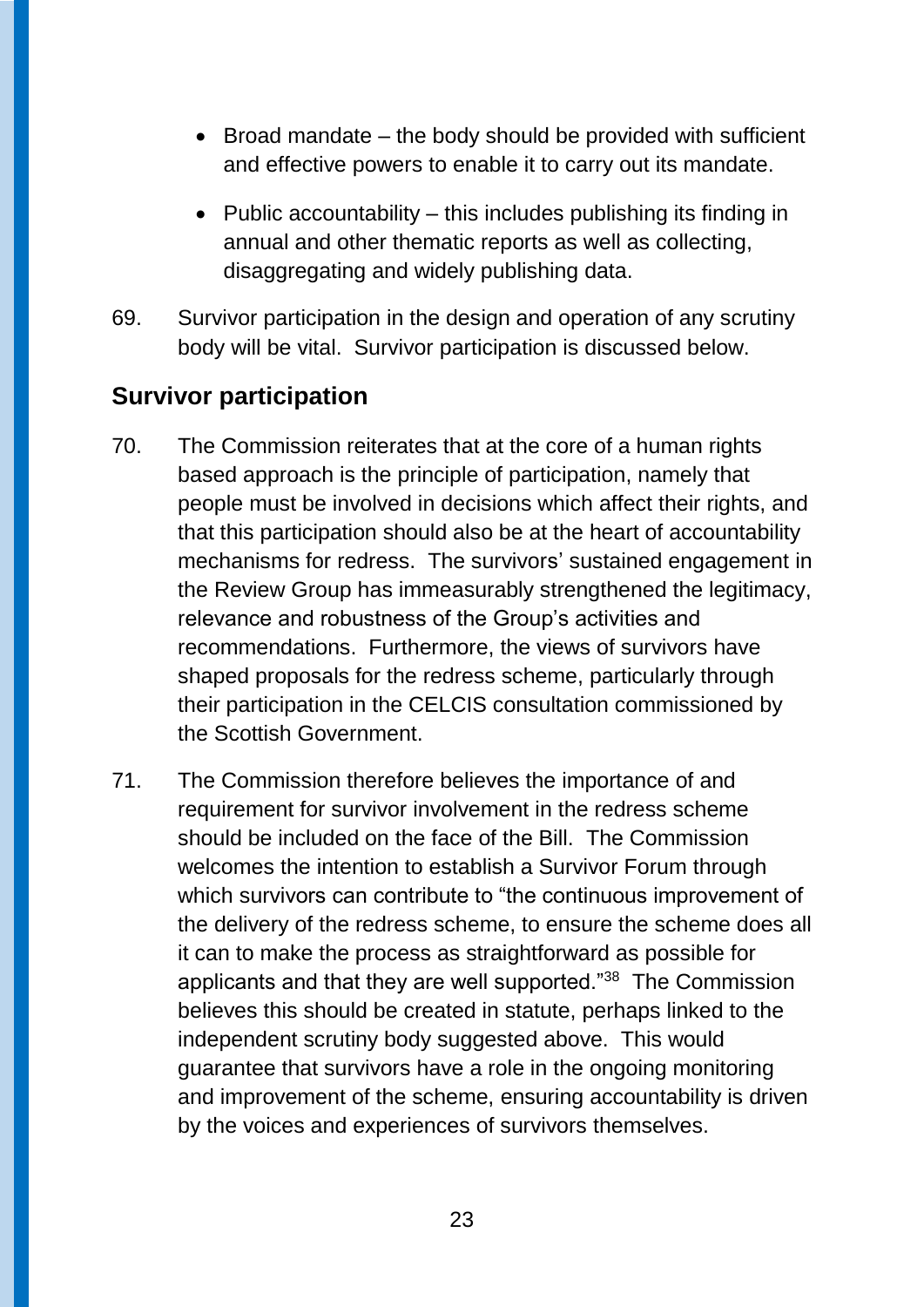- $\bullet$  Broad mandate the body should be provided with sufficient and effective powers to enable it to carry out its mandate.
- Public accountability  $-$  this includes publishing its finding in annual and other thematic reports as well as collecting, disaggregating and widely publishing data.
- 69. Survivor participation in the design and operation of any scrutiny body will be vital. Survivor participation is discussed below.

### **Survivor participation**

- 70. The Commission reiterates that at the core of a human rights based approach is the principle of participation, namely that people must be involved in decisions which affect their rights, and that this participation should also be at the heart of accountability mechanisms for redress. The survivors' sustained engagement in the Review Group has immeasurably strengthened the legitimacy, relevance and robustness of the Group's activities and recommendations. Furthermore, the views of survivors have shaped proposals for the redress scheme, particularly through their participation in the CELCIS consultation commissioned by the Scottish Government.
- 71. The Commission therefore believes the importance of and requirement for survivor involvement in the redress scheme should be included on the face of the Bill. The Commission welcomes the intention to establish a Survivor Forum through which survivors can contribute to "the continuous improvement of the delivery of the redress scheme, to ensure the scheme does all it can to make the process as straightforward as possible for applicants and that they are well supported."<sup>38</sup> The Commission believes this should be created in statute, perhaps linked to the independent scrutiny body suggested above. This would guarantee that survivors have a role in the ongoing monitoring and improvement of the scheme, ensuring accountability is driven by the voices and experiences of survivors themselves.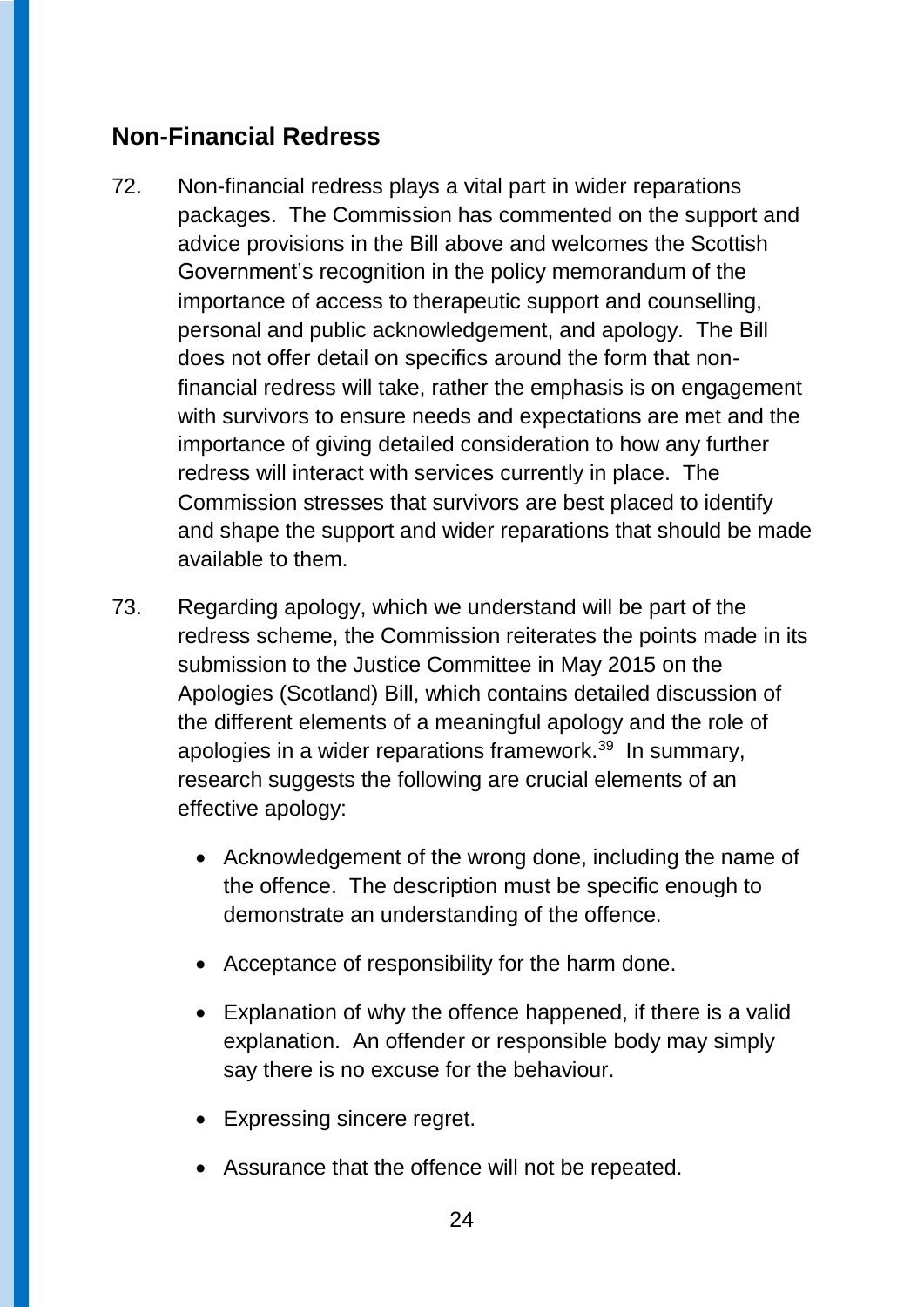# **Non-Financial Redress**

- 72. Non-financial redress plays a vital part in wider reparations packages. The Commission has commented on the support and advice provisions in the Bill above and welcomes the Scottish Government's recognition in the policy memorandum of the importance of access to therapeutic support and counselling, personal and public acknowledgement, and apology. The Bill does not offer detail on specifics around the form that nonfinancial redress will take, rather the emphasis is on engagement with survivors to ensure needs and expectations are met and the importance of giving detailed consideration to how any further redress will interact with services currently in place. The Commission stresses that survivors are best placed to identify and shape the support and wider reparations that should be made available to them.
- 73. Regarding apology, which we understand will be part of the redress scheme, the Commission reiterates the points made in its submission to the Justice Committee in May 2015 on the Apologies (Scotland) Bill, which contains detailed discussion of the different elements of a meaningful apology and the role of apologies in a wider reparations framework.<sup>39</sup> In summary, research suggests the following are crucial elements of an effective apology:
	- Acknowledgement of the wrong done, including the name of the offence. The description must be specific enough to demonstrate an understanding of the offence.
	- Acceptance of responsibility for the harm done.
	- Explanation of why the offence happened, if there is a valid explanation. An offender or responsible body may simply say there is no excuse for the behaviour.
	- Expressing sincere regret.
	- Assurance that the offence will not be repeated.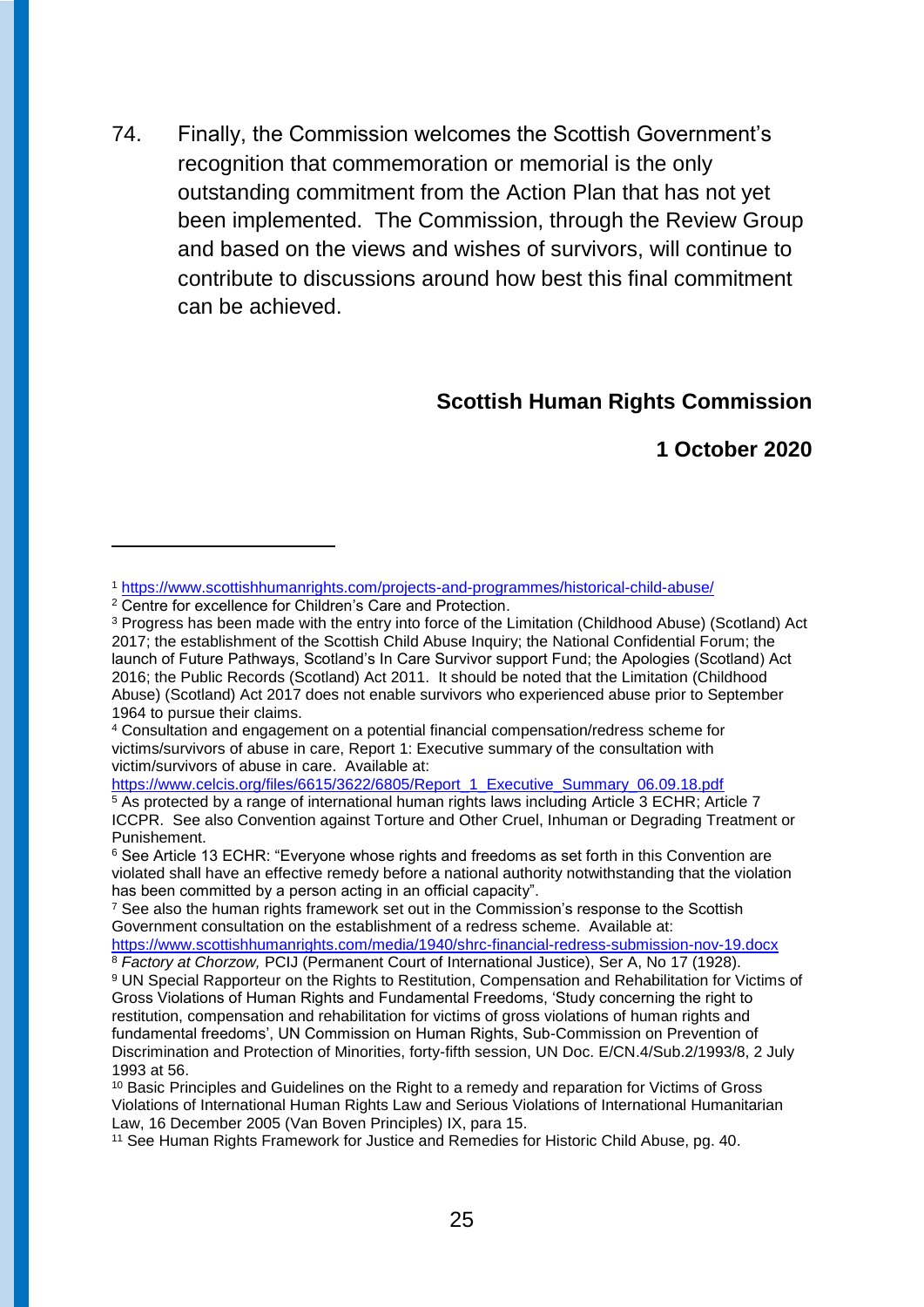74. Finally, the Commission welcomes the Scottish Government's recognition that commemoration or memorial is the only outstanding commitment from the Action Plan that has not yet been implemented. The Commission, through the Review Group and based on the views and wishes of survivors, will continue to contribute to discussions around how best this final commitment can be achieved.

#### **Scottish Human Rights Commission**

**1 October 2020**

-

[https://www.celcis.org/files/6615/3622/6805/Report\\_1\\_Executive\\_Summary\\_06.09.18.pdf](https://www.celcis.org/files/6615/3622/6805/Report_1_Executive_Summary_06.09.18.pdf)

<sup>7</sup> See also the human rights framework set out in the Commission's response to the Scottish Government consultation on the establishment of a redress scheme. Available at:

<sup>1</sup> <https://www.scottishhumanrights.com/projects-and-programmes/historical-child-abuse/>

<sup>2</sup> Centre for excellence for Children's Care and Protection.

<sup>3</sup> Progress has been made with the entry into force of the Limitation (Childhood Abuse) (Scotland) Act 2017; the establishment of the Scottish Child Abuse Inquiry; the National Confidential Forum; the launch of Future Pathways, Scotland's In Care Survivor support Fund; the Apologies (Scotland) Act 2016; the Public Records (Scotland) Act 2011. It should be noted that the Limitation (Childhood Abuse) (Scotland) Act 2017 does not enable survivors who experienced abuse prior to September 1964 to pursue their claims.

<sup>4</sup> Consultation and engagement on a potential financial compensation/redress scheme for victims/survivors of abuse in care, Report 1: Executive summary of the consultation with victim/survivors of abuse in care. Available at:

<sup>5</sup> As protected by a range of international human rights laws including Article 3 ECHR; Article 7 ICCPR. See also Convention against Torture and Other Cruel, Inhuman or Degrading Treatment or Punishement.

<sup>&</sup>lt;sup>6</sup> See Article 13 ECHR: "Everyone whose rights and freedoms as set forth in this Convention are violated shall have an effective remedy before a national authority notwithstanding that the violation has been committed by a person acting in an official capacity".

<https://www.scottishhumanrights.com/media/1940/shrc-financial-redress-submission-nov-19.docx>

<sup>8</sup> *Factory at Chorzow,* PCIJ (Permanent Court of International Justice), Ser A, No 17 (1928). <sup>9</sup> UN Special Rapporteur on the Rights to Restitution, Compensation and Rehabilitation for Victims of Gross Violations of Human Rights and Fundamental Freedoms, 'Study concerning the right to restitution, compensation and rehabilitation for victims of gross violations of human rights and fundamental freedoms', UN Commission on Human Rights, Sub-Commission on Prevention of Discrimination and Protection of Minorities, forty-fifth session, UN Doc. E/CN.4/Sub.2/1993/8, 2 July 1993 at 56.

<sup>10</sup> Basic Principles and Guidelines on the Right to a remedy and reparation for Victims of Gross Violations of International Human Rights Law and Serious Violations of International Humanitarian Law, 16 December 2005 (Van Boven Principles) IX, para 15.

<sup>11</sup> See Human Rights Framework for Justice and Remedies for Historic Child Abuse, pg. 40.